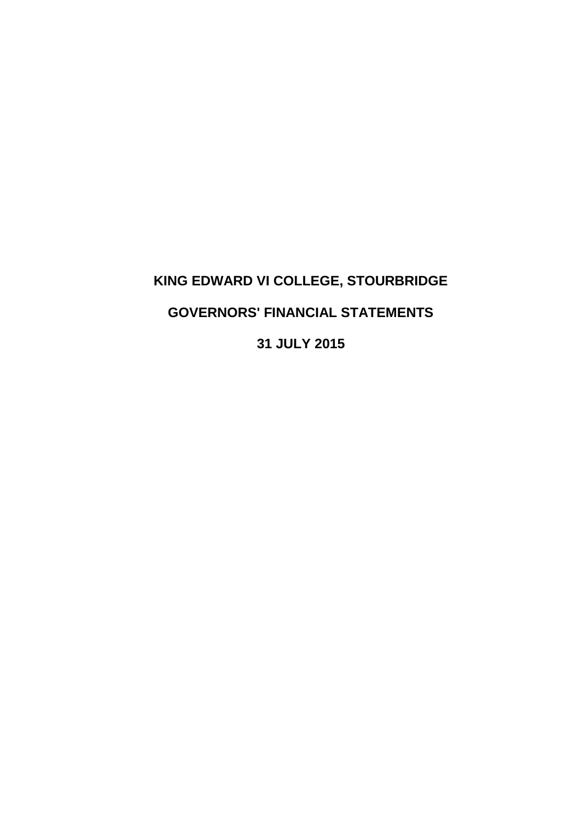# **KING EDWARD VI COLLEGE, STOURBRIDGE GOVERNORS' FINANCIAL STATEMENTS 31 JULY 2015**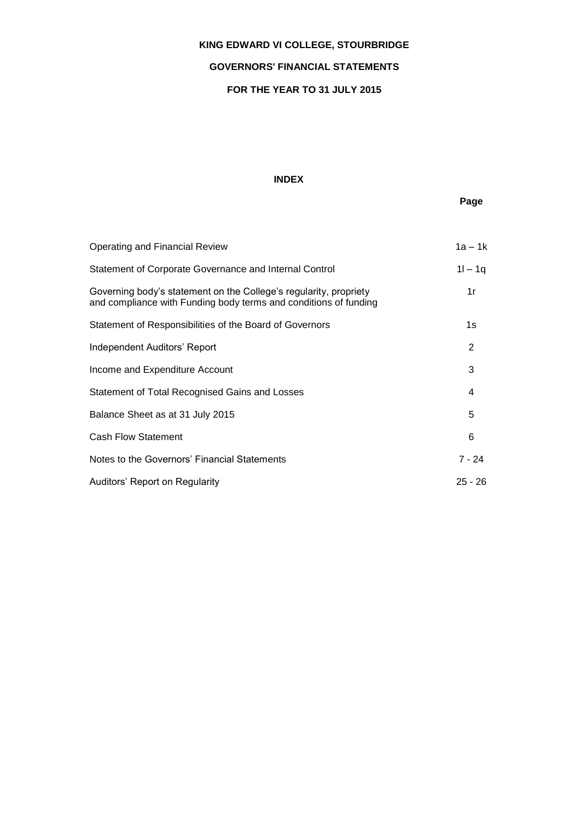### **GOVERNORS' FINANCIAL STATEMENTS**

### **FOR THE YEAR TO 31 JULY 2015**

### **INDEX**

## **Page**

| Operating and Financial Review                                                                                                        | $1a - 1k$ |
|---------------------------------------------------------------------------------------------------------------------------------------|-----------|
| Statement of Corporate Governance and Internal Control                                                                                | $11 - 19$ |
| Governing body's statement on the College's regularity, propriety<br>and compliance with Funding body terms and conditions of funding | 1r        |
| Statement of Responsibilities of the Board of Governors                                                                               | 1s        |
| Independent Auditors' Report                                                                                                          | 2         |
| Income and Expenditure Account                                                                                                        | 3         |
| Statement of Total Recognised Gains and Losses                                                                                        | 4         |
| Balance Sheet as at 31 July 2015                                                                                                      | 5         |
| <b>Cash Flow Statement</b>                                                                                                            | 6         |
| Notes to the Governors' Financial Statements                                                                                          | 7 - 24    |
| Auditors' Report on Regularity                                                                                                        | $25 - 26$ |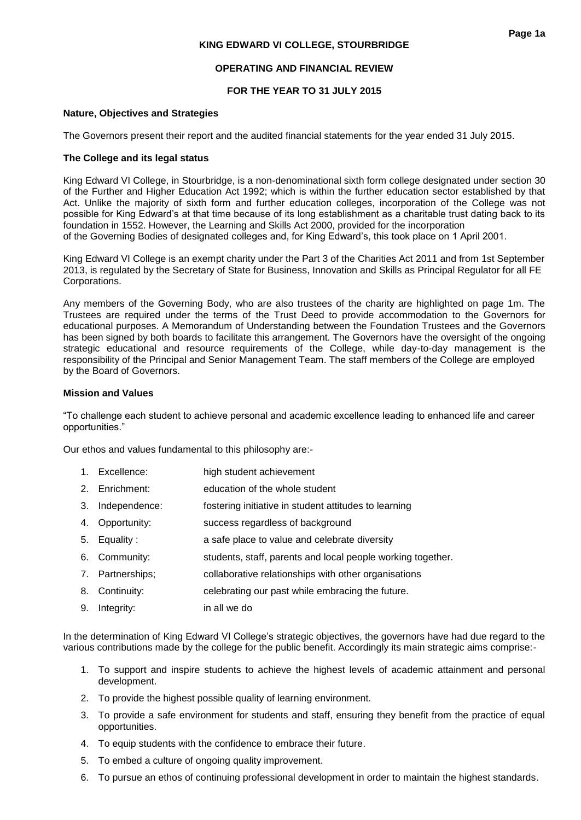### **OPERATING AND FINANCIAL REVIEW**

### **FOR THE YEAR TO 31 JULY 2015**

#### **Nature, Objectives and Strategies**

The Governors present their report and the audited financial statements for the year ended 31 July 2015.

### **The College and its legal status**

King Edward VI College, in Stourbridge, is a non-denominational sixth form college designated under section 30 of the Further and Higher Education Act 1992; which is within the further education sector established by that Act. Unlike the majority of sixth form and further education colleges, incorporation of the College was not possible for King Edward's at that time because of its long establishment as a charitable trust dating back to its foundation in 1552. However, the Learning and Skills Act 2000, provided for the incorporation of the Governing Bodies of designated colleges and, for King Edward's, this took place on 1 April 2001.

King Edward VI College is an exempt charity under the Part 3 of the Charities Act 2011 and from 1st September 2013, is regulated by the Secretary of State for Business, Innovation and Skills as Principal Regulator for all FE Corporations.

Any members of the Governing Body, who are also trustees of the charity are highlighted on page 1m. The Trustees are required under the terms of the Trust Deed to provide accommodation to the Governors for educational purposes. A Memorandum of Understanding between the Foundation Trustees and the Governors has been signed by both boards to facilitate this arrangement. The Governors have the oversight of the ongoing strategic educational and resource requirements of the College, while day-to-day management is the responsibility of the Principal and Senior Management Team. The staff members of the College are employed by the Board of Governors.

#### **Mission and Values**

"To challenge each student to achieve personal and academic excellence leading to enhanced life and career opportunities."

Our ethos and values fundamental to this philosophy are:-

- 1. Excellence: high student achievement
- 2. Enrichment: education of the whole student
- 3. Independence: fostering initiative in student attitudes to learning
- 4. Opportunity: success regardless of background
- 5. Equality : a safe place to value and celebrate diversity
- 6. Community: students, staff, parents and local people working together.
- 7. Partnerships; collaborative relationships with other organisations
- 8. Continuity: celebrating our past while embracing the future.
- 9. Integrity: in all we do

In the determination of King Edward VI College's strategic objectives, the governors have had due regard to the various contributions made by the college for the public benefit. Accordingly its main strategic aims comprise:-

- 1. To support and inspire students to achieve the highest levels of academic attainment and personal development.
- 2. To provide the highest possible quality of learning environment.
- 3. To provide a safe environment for students and staff, ensuring they benefit from the practice of equal opportunities.
- 4. To equip students with the confidence to embrace their future.
- 5. To embed a culture of ongoing quality improvement.
- 6. To pursue an ethos of continuing professional development in order to maintain the highest standards.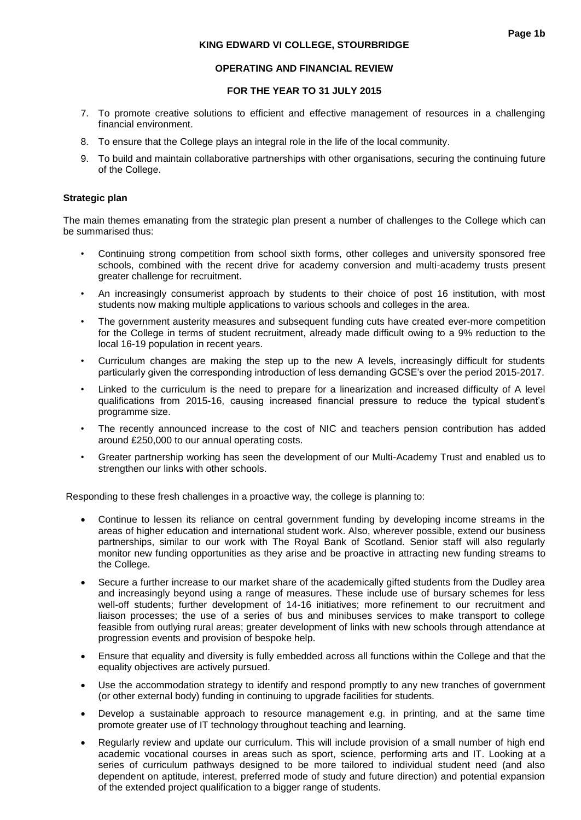### **OPERATING AND FINANCIAL REVIEW**

#### **FOR THE YEAR TO 31 JULY 2015**

- 7. To promote creative solutions to efficient and effective management of resources in a challenging financial environment.
- 8. To ensure that the College plays an integral role in the life of the local community.
- 9. To build and maintain collaborative partnerships with other organisations, securing the continuing future of the College.

#### **Strategic plan**

The main themes emanating from the strategic plan present a number of challenges to the College which can be summarised thus:

- Continuing strong competition from school sixth forms, other colleges and university sponsored free schools, combined with the recent drive for academy conversion and multi-academy trusts present greater challenge for recruitment.
- An increasingly consumerist approach by students to their choice of post 16 institution, with most students now making multiple applications to various schools and colleges in the area.
- The government austerity measures and subsequent funding cuts have created ever-more competition for the College in terms of student recruitment, already made difficult owing to a 9% reduction to the local 16-19 population in recent years.
- Curriculum changes are making the step up to the new A levels, increasingly difficult for students particularly given the corresponding introduction of less demanding GCSE's over the period 2015-2017.
- Linked to the curriculum is the need to prepare for a linearization and increased difficulty of A level qualifications from 2015-16, causing increased financial pressure to reduce the typical student's programme size.
- The recently announced increase to the cost of NIC and teachers pension contribution has added around £250,000 to our annual operating costs.
- Greater partnership working has seen the development of our Multi-Academy Trust and enabled us to strengthen our links with other schools.

Responding to these fresh challenges in a proactive way, the college is planning to:

- Continue to lessen its reliance on central government funding by developing income streams in the areas of higher education and international student work. Also, wherever possible, extend our business partnerships, similar to our work with The Royal Bank of Scotland. Senior staff will also regularly monitor new funding opportunities as they arise and be proactive in attracting new funding streams to the College.
- Secure a further increase to our market share of the academically gifted students from the Dudley area and increasingly beyond using a range of measures. These include use of bursary schemes for less well-off students; further development of 14-16 initiatives; more refinement to our recruitment and liaison processes; the use of a series of bus and minibuses services to make transport to college feasible from outlying rural areas; greater development of links with new schools through attendance at progression events and provision of bespoke help.
- Ensure that equality and diversity is fully embedded across all functions within the College and that the equality objectives are actively pursued.
- Use the accommodation strategy to identify and respond promptly to any new tranches of government (or other external body) funding in continuing to upgrade facilities for students.
- Develop a sustainable approach to resource management e.g. in printing, and at the same time promote greater use of IT technology throughout teaching and learning.
- Regularly review and update our curriculum. This will include provision of a small number of high end academic vocational courses in areas such as sport, science, performing arts and IT. Looking at a series of curriculum pathways designed to be more tailored to individual student need (and also dependent on aptitude, interest, preferred mode of study and future direction) and potential expansion of the extended project qualification to a bigger range of students.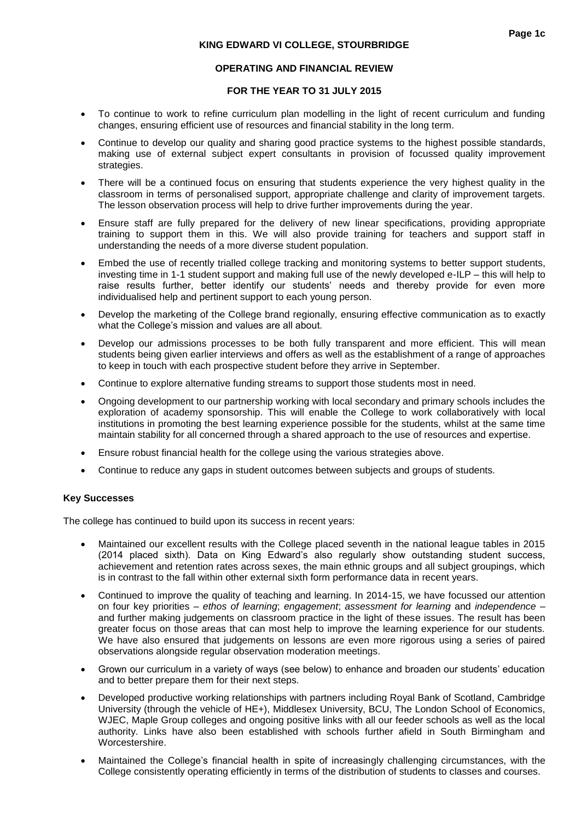#### **OPERATING AND FINANCIAL REVIEW**

#### **FOR THE YEAR TO 31 JULY 2015**

- To continue to work to refine curriculum plan modelling in the light of recent curriculum and funding changes, ensuring efficient use of resources and financial stability in the long term.
- Continue to develop our quality and sharing good practice systems to the highest possible standards, making use of external subject expert consultants in provision of focussed quality improvement strategies.
- There will be a continued focus on ensuring that students experience the very highest quality in the classroom in terms of personalised support, appropriate challenge and clarity of improvement targets. The lesson observation process will help to drive further improvements during the year.
- Ensure staff are fully prepared for the delivery of new linear specifications, providing appropriate training to support them in this. We will also provide training for teachers and support staff in understanding the needs of a more diverse student population.
- Embed the use of recently trialled college tracking and monitoring systems to better support students, investing time in 1-1 student support and making full use of the newly developed e-ILP – this will help to raise results further, better identify our students' needs and thereby provide for even more individualised help and pertinent support to each young person.
- Develop the marketing of the College brand regionally, ensuring effective communication as to exactly what the College's mission and values are all about.
- Develop our admissions processes to be both fully transparent and more efficient. This will mean students being given earlier interviews and offers as well as the establishment of a range of approaches to keep in touch with each prospective student before they arrive in September.
- Continue to explore alternative funding streams to support those students most in need.
- Ongoing development to our partnership working with local secondary and primary schools includes the exploration of academy sponsorship. This will enable the College to work collaboratively with local institutions in promoting the best learning experience possible for the students, whilst at the same time maintain stability for all concerned through a shared approach to the use of resources and expertise.
- Ensure robust financial health for the college using the various strategies above.
- Continue to reduce any gaps in student outcomes between subjects and groups of students.

### **Key Successes**

The college has continued to build upon its success in recent years:

- Maintained our excellent results with the College placed seventh in the national league tables in 2015 (2014 placed sixth). Data on King Edward's also regularly show outstanding student success, achievement and retention rates across sexes, the main ethnic groups and all subject groupings, which is in contrast to the fall within other external sixth form performance data in recent years.
- Continued to improve the quality of teaching and learning. In 2014-15, we have focussed our attention on four key priorities – *ethos of learning*; *engagement*; *assessment for learning* and *independence* – and further making judgements on classroom practice in the light of these issues. The result has been greater focus on those areas that can most help to improve the learning experience for our students. We have also ensured that judgements on lessons are even more rigorous using a series of paired observations alongside regular observation moderation meetings.
- Grown our curriculum in a variety of ways (see below) to enhance and broaden our students' education and to better prepare them for their next steps.
- Developed productive working relationships with partners including Royal Bank of Scotland, Cambridge University (through the vehicle of HE+), Middlesex University, BCU, The London School of Economics, WJEC, Maple Group colleges and ongoing positive links with all our feeder schools as well as the local authority. Links have also been established with schools further afield in South Birmingham and Worcestershire.
- Maintained the College's financial health in spite of increasingly challenging circumstances, with the College consistently operating efficiently in terms of the distribution of students to classes and courses.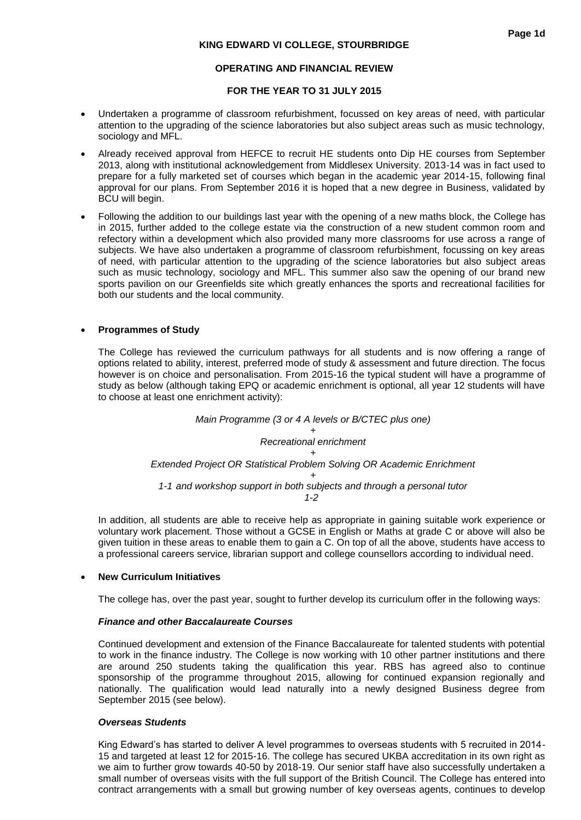#### **OPERATING AND FINANCIAL REVIEW**

#### **FOR THE YEAR TO 31 JULY 2015**

- Undertaken a programme of classroom refurbishment, focussed on key areas of need, with particular attention to the upgrading of the science laboratories but also subject areas such as music technology, sociology and MFL.
- Already received approval from HEFCE to recruit HE students onto Dip HE courses from September 2013, along with institutional acknowledgement from Middlesex University. 2013-14 was in fact used to prepare for a fully marketed set of courses which began in the academic year 2014-15, following final approval for our plans. From September 2016 it is hoped that a new degree in Business, validated by BCU will begin.
- Following the addition to our buildings last year with the opening of a new maths block, the College has in 2015, further added to the college estate via the construction of a new student common room and refectory within a development which also provided many more classrooms for use across a range of subjects. We have also undertaken a programme of classroom refurbishment, focussing on key areas of need, with particular attention to the upgrading of the science laboratories but also subject areas such as music technology, sociology and MFL. This summer also saw the opening of our brand new sports pavilion on our Greenfields site which greatly enhances the sports and recreational facilities for both our students and the local community.

#### **Programmes of Study**

The College has reviewed the curriculum pathways for all students and is now offering a range of options related to ability, interest, preferred mode of study & assessment and future direction. The focus however is on choice and personalisation. From 2015-16 the typical student will have a programme of study as below (although taking EPQ or academic enrichment is optional, all year 12 students will have to choose at least one enrichment activity):

> *Main Programme (3 or 4 A levels or B/CTEC plus one) + Recreational enrichment + Extended Project OR Statistical Problem Solving OR Academic Enrichment + 1-1 and workshop support in both subjects and through a personal tutor 1-2*

In addition, all students are able to receive help as appropriate in gaining suitable work experience or voluntary work placement. Those without a GCSE in English or Maths at grade C or above will also be given tuition in these areas to enable them to gain a C. On top of all the above, students have access to a professional careers service, librarian support and college counsellors according to individual need.

#### **New Curriculum Initiatives**

The college has, over the past year, sought to further develop its curriculum offer in the following ways:

#### *Finance and other Baccalaureate Courses*

Continued development and extension of the Finance Baccalaureate for talented students with potential to work in the finance industry. The College is now working with 10 other partner institutions and there are around 250 students taking the qualification this year. RBS has agreed also to continue sponsorship of the programme throughout 2015, allowing for continued expansion regionally and nationally. The qualification would lead naturally into a newly designed Business degree from September 2015 (see below).

#### *Overseas Students*

King Edward's has started to deliver A level programmes to overseas students with 5 recruited in 2014- 15 and targeted at least 12 for 2015-16. The college has secured UKBA accreditation in its own right as we aim to further grow towards 40-50 by 2018-19. Our senior staff have also successfully undertaken a small number of overseas visits with the full support of the British Council. The College has entered into contract arrangements with a small but growing number of key overseas agents, continues to develop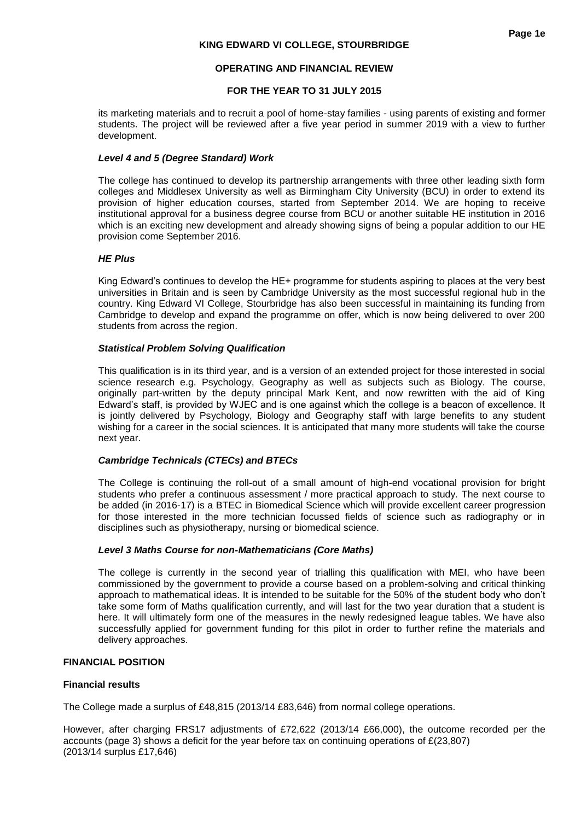### **OPERATING AND FINANCIAL REVIEW**

### **FOR THE YEAR TO 31 JULY 2015**

its marketing materials and to recruit a pool of home-stay families - using parents of existing and former students. The project will be reviewed after a five year period in summer 2019 with a view to further development.

### *Level 4 and 5 (Degree Standard) Work*

The college has continued to develop its partnership arrangements with three other leading sixth form colleges and Middlesex University as well as Birmingham City University (BCU) in order to extend its provision of higher education courses, started from September 2014. We are hoping to receive institutional approval for a business degree course from BCU or another suitable HE institution in 2016 which is an exciting new development and already showing signs of being a popular addition to our HE provision come September 2016.

### *HE Plus*

King Edward's continues to develop the HE+ programme for students aspiring to places at the very best universities in Britain and is seen by Cambridge University as the most successful regional hub in the country. King Edward VI College, Stourbridge has also been successful in maintaining its funding from Cambridge to develop and expand the programme on offer, which is now being delivered to over 200 students from across the region.

#### *Statistical Problem Solving Qualification*

This qualification is in its third year, and is a version of an extended project for those interested in social science research e.g. Psychology, Geography as well as subjects such as Biology. The course, originally part-written by the deputy principal Mark Kent, and now rewritten with the aid of King Edward's staff, is provided by WJEC and is one against which the college is a beacon of excellence. It is jointly delivered by Psychology, Biology and Geography staff with large benefits to any student wishing for a career in the social sciences. It is anticipated that many more students will take the course next year.

### *Cambridge Technicals (CTECs) and BTECs*

The College is continuing the roll-out of a small amount of high-end vocational provision for bright students who prefer a continuous assessment / more practical approach to study. The next course to be added (in 2016-17) is a BTEC in Biomedical Science which will provide excellent career progression for those interested in the more technician focussed fields of science such as radiography or in disciplines such as physiotherapy, nursing or biomedical science.

#### *Level 3 Maths Course for non-Mathematicians (Core Maths)*

The college is currently in the second year of trialling this qualification with MEI, who have been commissioned by the government to provide a course based on a problem-solving and critical thinking approach to mathematical ideas. It is intended to be suitable for the 50% of the student body who don't take some form of Maths qualification currently, and will last for the two year duration that a student is here. It will ultimately form one of the measures in the newly redesigned league tables. We have also successfully applied for government funding for this pilot in order to further refine the materials and delivery approaches.

#### **FINANCIAL POSITION**

#### **Financial results**

The College made a surplus of £48,815 (2013/14 £83,646) from normal college operations.

However, after charging FRS17 adjustments of £72,622 (2013/14 £66,000), the outcome recorded per the accounts (page 3) shows a deficit for the year before tax on continuing operations of £(23,807) (2013/14 surplus £17,646)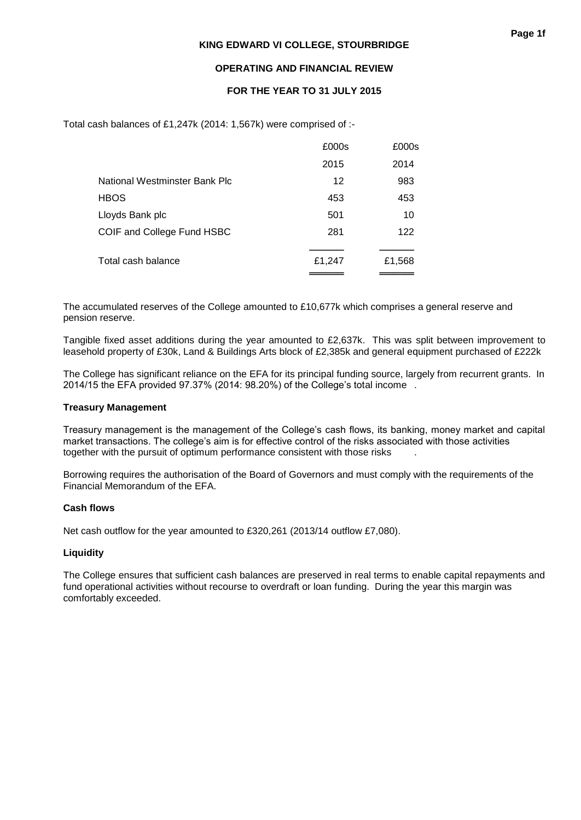### **OPERATING AND FINANCIAL REVIEW**

### **FOR THE YEAR TO 31 JULY 2015**

Total cash balances of £1,247k (2014: 1,567k) were comprised of :-

|                               | £000s  | £000s  |
|-------------------------------|--------|--------|
|                               | 2015   | 2014   |
| National Westminster Bank Plc | 12     | 983    |
| <b>HBOS</b>                   | 453    | 453    |
| Lloyds Bank plc               | 501    | 10     |
| COIF and College Fund HSBC    | 281    | 122    |
|                               |        |        |
| Total cash balance            | £1,247 | £1,568 |
|                               |        |        |

The accumulated reserves of the College amounted to £10,677k which comprises a general reserve and pension reserve.

Tangible fixed asset additions during the year amounted to £2,637k. This was split between improvement to leasehold property of £30k, Land & Buildings Arts block of £2,385k and general equipment purchased of £222k

The College has significant reliance on the EFA for its principal funding source, largely from recurrent grants. In 2014/15 the EFA provided 97.37% (2014: 98.20%) of the College's total income .

#### **Treasury Management**

Treasury management is the management of the College's cash flows, its banking, money market and capital market transactions. The college's aim is for effective control of the risks associated with those activities together with the pursuit of optimum performance consistent with those risks .

Borrowing requires the authorisation of the Board of Governors and must comply with the requirements of the Financial Memorandum of the EFA.

#### **Cash flows**

Net cash outflow for the year amounted to £320,261 (2013/14 outflow £7,080).

### **Liquidity**

The College ensures that sufficient cash balances are preserved in real terms to enable capital repayments and fund operational activities without recourse to overdraft or loan funding. During the year this margin was comfortably exceeded.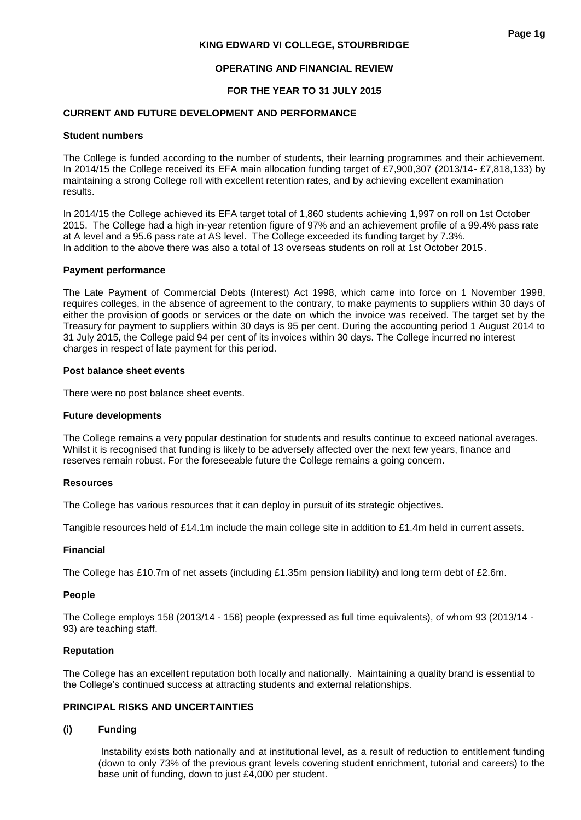### **OPERATING AND FINANCIAL REVIEW**

### **FOR THE YEAR TO 31 JULY 2015**

#### **CURRENT AND FUTURE DEVELOPMENT AND PERFORMANCE**

#### **Student numbers**

The College is funded according to the number of students, their learning programmes and their achievement. In 2014/15 the College received its EFA main allocation funding target of £7,900,307 (2013/14- £7,818,133) by maintaining a strong College roll with excellent retention rates, and by achieving excellent examination results.

In 2014/15 the College achieved its EFA target total of 1,860 students achieving 1,997 on roll on 1st October 2015. The College had a high in-year retention figure of 97% and an achievement profile of a 99.4% pass rate at A level and a 95.6 pass rate at AS level. The College exceeded its funding target by 7.3%. In addition to the above there was also a total of 13 overseas students on roll at 1st October 2015 .

#### **Payment performance**

The Late Payment of Commercial Debts (Interest) Act 1998, which came into force on 1 November 1998, requires colleges, in the absence of agreement to the contrary, to make payments to suppliers within 30 days of either the provision of goods or services or the date on which the invoice was received. The target set by the Treasury for payment to suppliers within 30 days is 95 per cent. During the accounting period 1 August 2014 to 31 July 2015, the College paid 94 per cent of its invoices within 30 days. The College incurred no interest charges in respect of late payment for this period.

#### **Post balance sheet events**

There were no post balance sheet events.

#### **Future developments**

The College remains a very popular destination for students and results continue to exceed national averages. Whilst it is recognised that funding is likely to be adversely affected over the next few years, finance and reserves remain robust. For the foreseeable future the College remains a going concern.

#### **Resources**

The College has various resources that it can deploy in pursuit of its strategic objectives.

Tangible resources held of £14.1m include the main college site in addition to £1.4m held in current assets.

#### **Financial**

The College has £10.7m of net assets (including £1.35m pension liability) and long term debt of £2.6m.

#### **People**

The College employs 158 (2013/14 - 156) people (expressed as full time equivalents), of whom 93 (2013/14 - 93) are teaching staff.

#### **Reputation**

The College has an excellent reputation both locally and nationally. Maintaining a quality brand is essential to the College's continued success at attracting students and external relationships.

#### **PRINCIPAL RISKS AND UNCERTAINTIES**

#### **(i) Funding**

Instability exists both nationally and at institutional level, as a result of reduction to entitlement funding (down to only 73% of the previous grant levels covering student enrichment, tutorial and careers) to the base unit of funding, down to just £4,000 per student.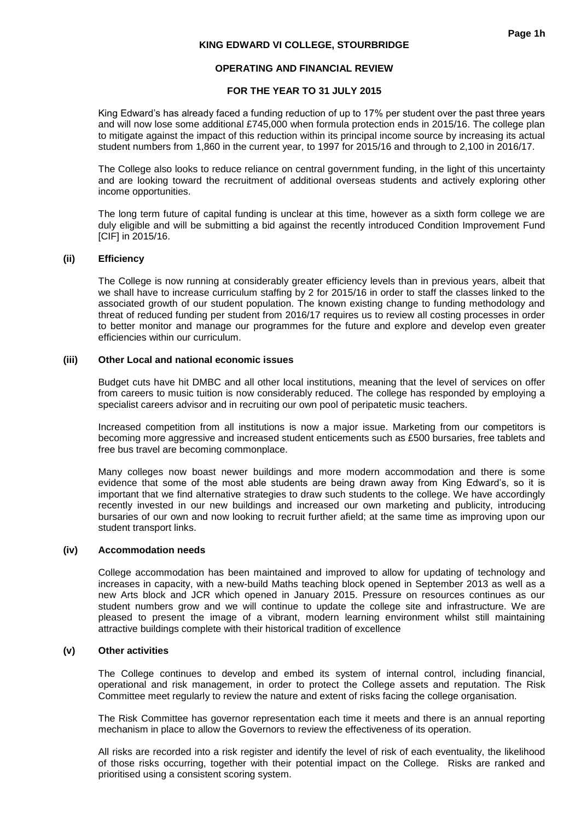#### **OPERATING AND FINANCIAL REVIEW**

#### **FOR THE YEAR TO 31 JULY 2015**

King Edward's has already faced a funding reduction of up to 17% per student over the past three years and will now lose some additional £745,000 when formula protection ends in 2015/16. The college plan to mitigate against the impact of this reduction within its principal income source by increasing its actual student numbers from 1,860 in the current year, to 1997 for 2015/16 and through to 2,100 in 2016/17.

The College also looks to reduce reliance on central government funding, in the light of this uncertainty and are looking toward the recruitment of additional overseas students and actively exploring other income opportunities.

The long term future of capital funding is unclear at this time, however as a sixth form college we are duly eligible and will be submitting a bid against the recently introduced Condition Improvement Fund [CIF] in 2015/16.

#### **(ii) Efficiency**

The College is now running at considerably greater efficiency levels than in previous years, albeit that we shall have to increase curriculum staffing by 2 for 2015/16 in order to staff the classes linked to the associated growth of our student population. The known existing change to funding methodology and threat of reduced funding per student from 2016/17 requires us to review all costing processes in order to better monitor and manage our programmes for the future and explore and develop even greater efficiencies within our curriculum.

#### **(iii) Other Local and national economic issues**

Budget cuts have hit DMBC and all other local institutions, meaning that the level of services on offer from careers to music tuition is now considerably reduced. The college has responded by employing a specialist careers advisor and in recruiting our own pool of peripatetic music teachers.

Increased competition from all institutions is now a major issue. Marketing from our competitors is becoming more aggressive and increased student enticements such as £500 bursaries, free tablets and free bus travel are becoming commonplace.

Many colleges now boast newer buildings and more modern accommodation and there is some evidence that some of the most able students are being drawn away from King Edward's, so it is important that we find alternative strategies to draw such students to the college. We have accordingly recently invested in our new buildings and increased our own marketing and publicity, introducing bursaries of our own and now looking to recruit further afield; at the same time as improving upon our student transport links.

#### **(iv) Accommodation needs**

College accommodation has been maintained and improved to allow for updating of technology and increases in capacity, with a new-build Maths teaching block opened in September 2013 as well as a new Arts block and JCR which opened in January 2015. Pressure on resources continues as our student numbers grow and we will continue to update the college site and infrastructure. We are pleased to present the image of a vibrant, modern learning environment whilst still maintaining attractive buildings complete with their historical tradition of excellence

#### **(v) Other activities**

The College continues to develop and embed its system of internal control, including financial, operational and risk management, in order to protect the College assets and reputation. The Risk Committee meet regularly to review the nature and extent of risks facing the college organisation.

The Risk Committee has governor representation each time it meets and there is an annual reporting mechanism in place to allow the Governors to review the effectiveness of its operation.

All risks are recorded into a risk register and identify the level of risk of each eventuality, the likelihood of those risks occurring, together with their potential impact on the College. Risks are ranked and prioritised using a consistent scoring system.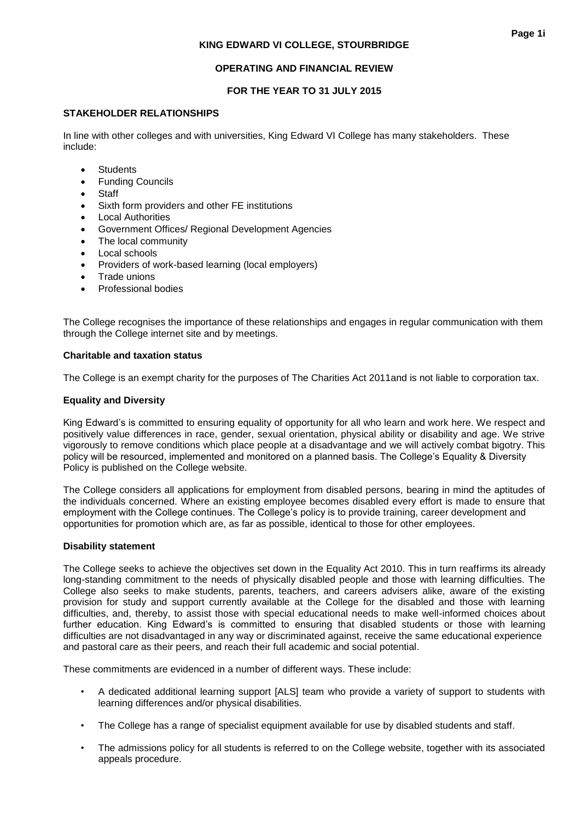### **OPERATING AND FINANCIAL REVIEW**

### **FOR THE YEAR TO 31 JULY 2015**

### **STAKEHOLDER RELATIONSHIPS**

In line with other colleges and with universities, King Edward VI College has many stakeholders. These include:

- **Students**
- Funding Councils
- **Staff**
- Sixth form providers and other FE institutions
- Local Authorities
- Government Offices/ Regional Development Agencies
- The local community
- Local schools
- Providers of work-based learning (local employers)
- Trade unions
- Professional bodies

The College recognises the importance of these relationships and engages in regular communication with them through the College internet site and by meetings.

### **Charitable and taxation status**

The College is an exempt charity for the purposes of The Charities Act 2011and is not liable to corporation tax.

### **Equality and Diversity**

King Edward's is committed to ensuring equality of opportunity for all who learn and work here. We respect and positively value differences in race, gender, sexual orientation, physical ability or disability and age. We strive vigorously to remove conditions which place people at a disadvantage and we will actively combat bigotry. This policy will be resourced, implemented and monitored on a planned basis. The College's Equality & Diversity Policy is published on the College website.

The College considers all applications for employment from disabled persons, bearing in mind the aptitudes of the individuals concerned. Where an existing employee becomes disabled every effort is made to ensure that employment with the College continues. The College's policy is to provide training, career development and opportunities for promotion which are, as far as possible, identical to those for other employees.

### **Disability statement**

The College seeks to achieve the objectives set down in the Equality Act 2010. This in turn reaffirms its already long-standing commitment to the needs of physically disabled people and those with learning difficulties. The College also seeks to make students, parents, teachers, and careers advisers alike, aware of the existing provision for study and support currently available at the College for the disabled and those with learning difficulties, and, thereby, to assist those with special educational needs to make well-informed choices about further education. King Edward's is committed to ensuring that disabled students or those with learning difficulties are not disadvantaged in any way or discriminated against, receive the same educational experience and pastoral care as their peers, and reach their full academic and social potential.

These commitments are evidenced in a number of different ways. These include:

- A dedicated additional learning support [ALS] team who provide a variety of support to students with learning differences and/or physical disabilities.
- The College has a range of specialist equipment available for use by disabled students and staff.
- The admissions policy for all students is referred to on the College website, together with its associated appeals procedure.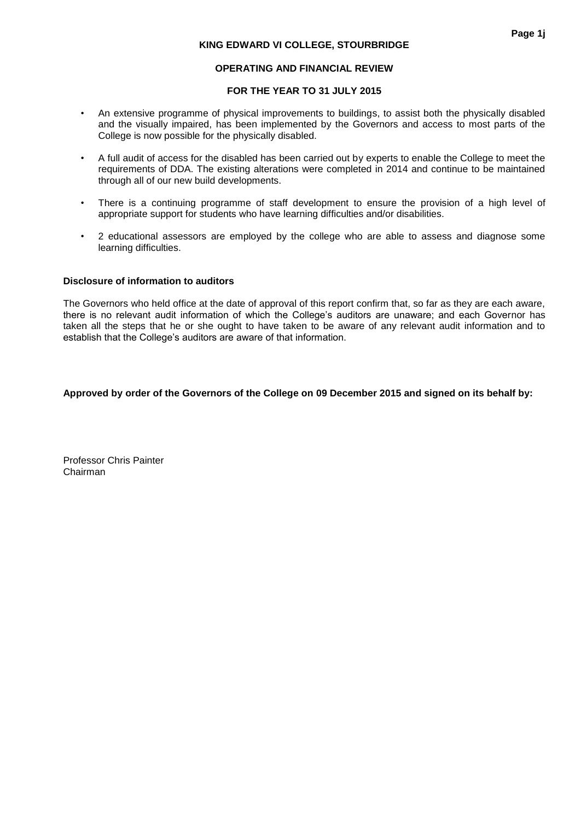### **OPERATING AND FINANCIAL REVIEW**

### **FOR THE YEAR TO 31 JULY 2015**

- An extensive programme of physical improvements to buildings, to assist both the physically disabled and the visually impaired, has been implemented by the Governors and access to most parts of the College is now possible for the physically disabled.
- A full audit of access for the disabled has been carried out by experts to enable the College to meet the requirements of DDA. The existing alterations were completed in 2014 and continue to be maintained through all of our new build developments.
- There is a continuing programme of staff development to ensure the provision of a high level of appropriate support for students who have learning difficulties and/or disabilities.
- 2 educational assessors are employed by the college who are able to assess and diagnose some learning difficulties.

#### **Disclosure of information to auditors**

The Governors who held office at the date of approval of this report confirm that, so far as they are each aware, there is no relevant audit information of which the College's auditors are unaware; and each Governor has taken all the steps that he or she ought to have taken to be aware of any relevant audit information and to establish that the College's auditors are aware of that information.

### **Approved by order of the Governors of the College on 09 December 2015 and signed on its behalf by:**

Professor Chris Painter Chairman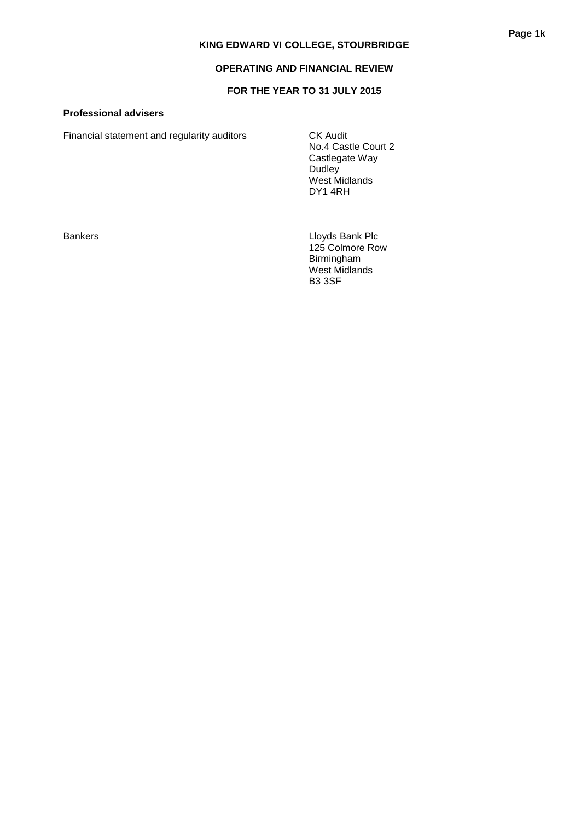### **OPERATING AND FINANCIAL REVIEW**

### **FOR THE YEAR TO 31 JULY 2015**

### **Professional advisers**

Financial statement and regularity auditors CK Audit

No.4 Castle Court 2 Castlegate Way Dudley West Midlands DY1 4RH

Bankers **Lloyds Bank Plc** 125 Colmore Row Birmingham West Midlands B3 3SF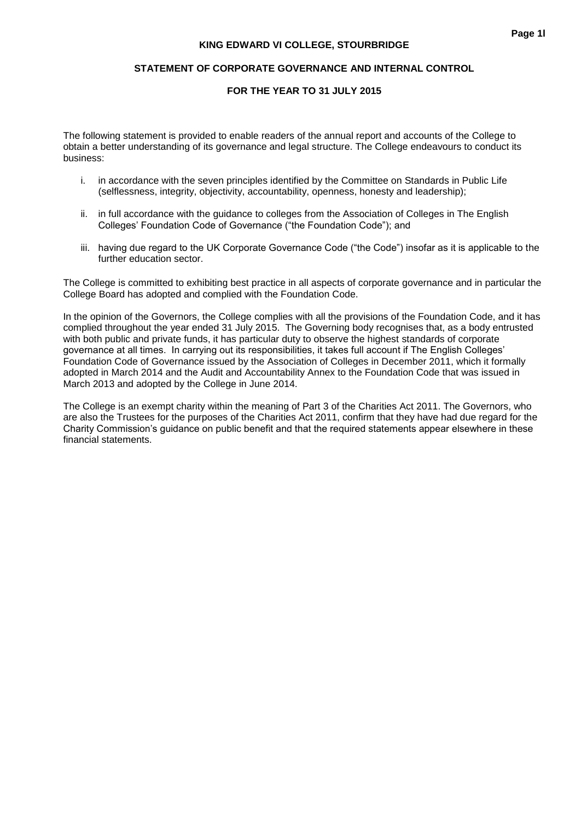### **FOR THE YEAR TO 31 JULY 2015**

The following statement is provided to enable readers of the annual report and accounts of the College to obtain a better understanding of its governance and legal structure. The College endeavours to conduct its business:

- i. in accordance with the seven principles identified by the Committee on Standards in Public Life (selflessness, integrity, objectivity, accountability, openness, honesty and leadership);
- ii. in full accordance with the guidance to colleges from the Association of Colleges in The English Colleges' Foundation Code of Governance ("the Foundation Code"); and
- iii. having due regard to the UK Corporate Governance Code ("the Code") insofar as it is applicable to the further education sector.

The College is committed to exhibiting best practice in all aspects of corporate governance and in particular the College Board has adopted and complied with the Foundation Code.

In the opinion of the Governors, the College complies with all the provisions of the Foundation Code, and it has complied throughout the year ended 31 July 2015. The Governing body recognises that, as a body entrusted with both public and private funds, it has particular duty to observe the highest standards of corporate governance at all times. In carrying out its responsibilities, it takes full account if The English Colleges' Foundation Code of Governance issued by the Association of Colleges in December 2011, which it formally adopted in March 2014 and the Audit and Accountability Annex to the Foundation Code that was issued in March 2013 and adopted by the College in June 2014.

The College is an exempt charity within the meaning of Part 3 of the Charities Act 2011. The Governors, who are also the Trustees for the purposes of the Charities Act 2011, confirm that they have had due regard for the Charity Commission's guidance on public benefit and that the required statements appear elsewhere in these financial statements.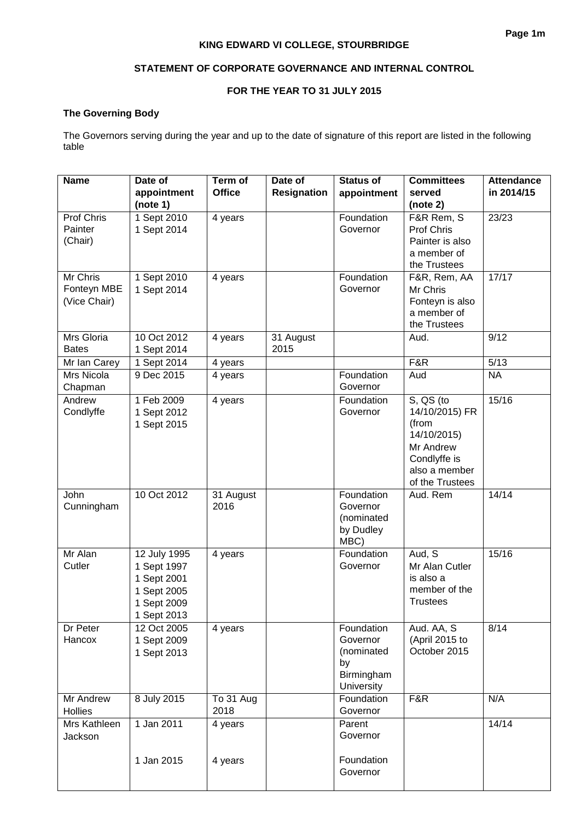### **STATEMENT OF CORPORATE GOVERNANCE AND INTERNAL CONTROL**

### **FOR THE YEAR TO 31 JULY 2015**

### **The Governing Body**

The Governors serving during the year and up to the date of signature of this report are listed in the following table

| <b>Name</b>             | Date of                    | Term of       | Date of            | <b>Status of</b>       | <b>Committees</b>                | <b>Attendance</b> |
|-------------------------|----------------------------|---------------|--------------------|------------------------|----------------------------------|-------------------|
|                         | appointment                | <b>Office</b> | <b>Resignation</b> | appointment            | served                           | in 2014/15        |
| Prof Chris              | (note 1)<br>1 Sept 2010    |               |                    | Foundation             | (note 2)<br>F&R Rem, S           | 23/23             |
| Painter                 | 1 Sept 2014                | 4 years       |                    | Governor               | Prof Chris                       |                   |
| (Chair)                 |                            |               |                    |                        | Painter is also                  |                   |
|                         |                            |               |                    |                        | a member of                      |                   |
|                         |                            |               |                    |                        | the Trustees                     |                   |
| <b>Mr Chris</b>         | 1 Sept 2010                | 4 years       |                    | Foundation             | F&R, Rem, AA                     | 17/17             |
| Fonteyn MBE             | 1 Sept 2014                |               |                    | Governor               | Mr Chris                         |                   |
| (Vice Chair)            |                            |               |                    |                        | Fonteyn is also<br>a member of   |                   |
|                         |                            |               |                    |                        | the Trustees                     |                   |
| Mrs Gloria              | 10 Oct 2012                | 4 years       | 31 August          |                        | Aud.                             | 9/12              |
| <b>Bates</b>            | 1 Sept 2014                |               | 2015               |                        |                                  |                   |
| Mr Ian Carey            | 1 Sept 2014                | 4 years       |                    |                        | F&R                              | 5/13              |
| Mrs Nicola              | 9 Dec 2015                 | 4 years       |                    | Foundation             | Aud                              | <b>NA</b>         |
| Chapman<br>Andrew       | 1 Feb 2009                 |               |                    | Governor<br>Foundation | $\overline{S}$ , QS (to          | 15/16             |
| Condlyffe               | 1 Sept 2012                | 4 years       |                    | Governor               | 14/10/2015) FR                   |                   |
|                         | 1 Sept 2015                |               |                    |                        | (from                            |                   |
|                         |                            |               |                    |                        | 14/10/2015)                      |                   |
|                         |                            |               |                    |                        | Mr Andrew                        |                   |
|                         |                            |               |                    |                        | Condlyffe is                     |                   |
|                         |                            |               |                    |                        | also a member<br>of the Trustees |                   |
| John                    | 10 Oct 2012                | 31 August     |                    | Foundation             | Aud. Rem                         | 14/14             |
| Cunningham              |                            | 2016          |                    | Governor               |                                  |                   |
|                         |                            |               |                    | (nominated             |                                  |                   |
|                         |                            |               |                    | by Dudley<br>MBC)      |                                  |                   |
| Mr Alan                 | 12 July 1995               | 4 years       |                    | Foundation             | Aud, S                           | 15/16             |
| Cutler                  | 1 Sept 1997                |               |                    | Governor               | Mr Alan Cutler                   |                   |
|                         | 1 Sept 2001                |               |                    |                        | is also a                        |                   |
|                         | 1 Sept 2005                |               |                    |                        | member of the                    |                   |
|                         | 1 Sept 2009                |               |                    |                        | <b>Trustees</b>                  |                   |
|                         | 1 Sept 2013                |               |                    |                        |                                  |                   |
| Dr Peter<br>Hancox      | 12 Oct 2005                | 4 years       |                    | Foundation<br>Governor | Aud. AA, S                       | 8/14              |
|                         | 1 Sept 2009<br>1 Sept 2013 |               |                    | (nominated             | (April 2015 to<br>October 2015   |                   |
|                         |                            |               |                    | by                     |                                  |                   |
|                         |                            |               |                    | Birmingham             |                                  |                   |
|                         |                            |               |                    | University             |                                  |                   |
| Mr Andrew               | 8 July 2015                | To 31 Aug     |                    | Foundation             | F&R                              | N/A               |
| Hollies<br>Mrs Kathleen | 1 Jan 2011                 | 2018          |                    | Governor<br>Parent     |                                  | 14/14             |
| Jackson                 |                            | 4 years       |                    | Governor               |                                  |                   |
|                         |                            |               |                    |                        |                                  |                   |
|                         | 1 Jan 2015                 | 4 years       |                    | Foundation             |                                  |                   |
|                         |                            |               |                    | Governor               |                                  |                   |
|                         |                            |               |                    |                        |                                  |                   |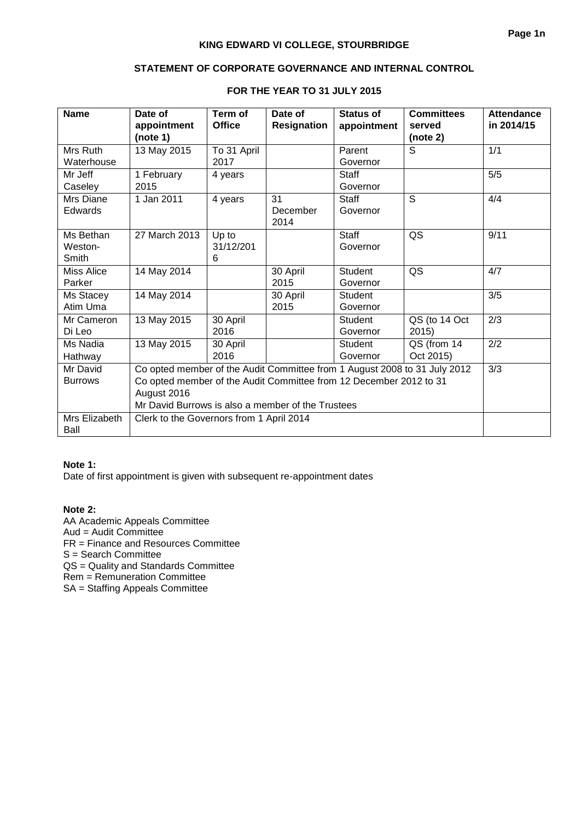### **STATEMENT OF CORPORATE GOVERNANCE AND INTERNAL CONTROL**

| <b>Name</b>       | Date of                                                                   | Term of       | Date of            | <b>Status of</b> | <b>Committees</b> | <b>Attendance</b> |
|-------------------|---------------------------------------------------------------------------|---------------|--------------------|------------------|-------------------|-------------------|
|                   | appointment                                                               | <b>Office</b> | <b>Resignation</b> | appointment      | served            | in 2014/15        |
|                   | (note 1)                                                                  |               |                    |                  | (note 2)          |                   |
| Mrs Ruth          | 13 May 2015                                                               | To 31 April   |                    | Parent           | S                 | 1/1               |
| Waterhouse        |                                                                           | 2017          |                    | Governor         |                   |                   |
| Mr Jeff           | 1 February                                                                | 4 years       |                    | <b>Staff</b>     |                   | 5/5               |
| Caseley           | 2015                                                                      |               |                    | Governor         |                   |                   |
| Mrs Diane         | 1 Jan 2011                                                                | 4 years       | 31                 | <b>Staff</b>     | S                 | 4/4               |
| Edwards           |                                                                           |               | December           | Governor         |                   |                   |
|                   |                                                                           |               | 2014               |                  |                   |                   |
| Ms Bethan         | 27 March 2013                                                             | Up to         |                    | <b>Staff</b>     | QS                | 9/11              |
| Weston-           |                                                                           | 31/12/201     |                    | Governor         |                   |                   |
| Smith             |                                                                           | 6             |                    |                  |                   |                   |
| <b>Miss Alice</b> | 14 May 2014                                                               |               | 30 April           | <b>Student</b>   | QS                | 4/7               |
| Parker            |                                                                           |               | 2015               | Governor         |                   |                   |
| Ms Stacey         | 14 May 2014                                                               |               | 30 April           | <b>Student</b>   |                   | 3/5               |
| Atim Uma          |                                                                           |               | 2015               | Governor         |                   |                   |
| Mr Cameron        | 13 May 2015                                                               | 30 April      |                    | <b>Student</b>   | QS (to 14 Oct     | 2/3               |
| Di Leo            |                                                                           | 2016          |                    | Governor         | 2015)             |                   |
| Ms Nadia          | 13 May 2015                                                               | 30 April      |                    | <b>Student</b>   | QS (from 14       | 2/2               |
| Hathway           |                                                                           | 2016          |                    | Governor         | Oct 2015)         |                   |
| Mr David          | Co opted member of the Audit Committee from 1 August 2008 to 31 July 2012 |               |                    |                  |                   | 3/3               |
| <b>Burrows</b>    | Co opted member of the Audit Committee from 12 December 2012 to 31        |               |                    |                  |                   |                   |
|                   | August 2016                                                               |               |                    |                  |                   |                   |
|                   | Mr David Burrows is also a member of the Trustees                         |               |                    |                  |                   |                   |
| Mrs Elizabeth     | Clerk to the Governors from 1 April 2014                                  |               |                    |                  |                   |                   |
| Ball              |                                                                           |               |                    |                  |                   |                   |

### **FOR THE YEAR TO 31 JULY 2015**

### **Note 1:**

Date of first appointment is given with subsequent re-appointment dates

### **Note 2:**

AA Academic Appeals Committee Aud = Audit Committee FR = Finance and Resources Committee S = Search Committee QS = Quality and Standards Committee Rem = Remuneration Committee SA = Staffing Appeals Committee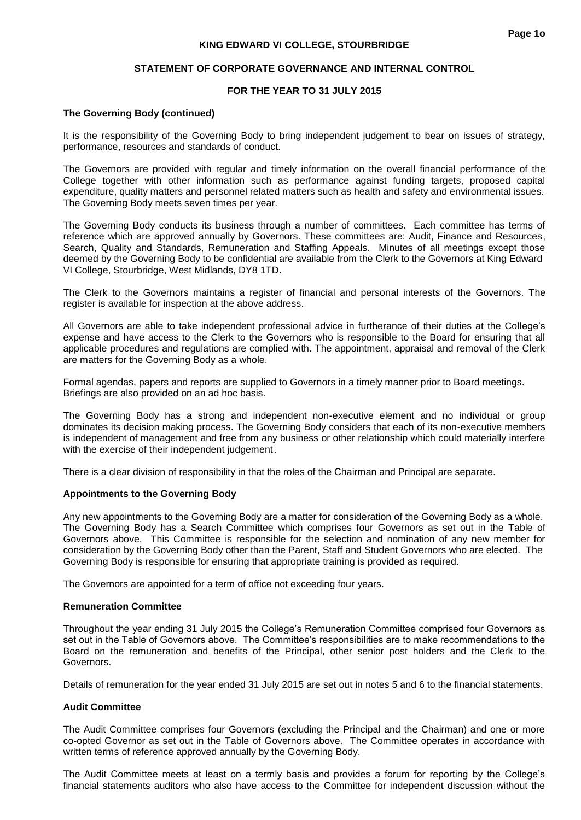#### **STATEMENT OF CORPORATE GOVERNANCE AND INTERNAL CONTROL**

### **FOR THE YEAR TO 31 JULY 2015**

#### **The Governing Body (continued)**

It is the responsibility of the Governing Body to bring independent judgement to bear on issues of strategy, performance, resources and standards of conduct.

The Governors are provided with regular and timely information on the overall financial performance of the College together with other information such as performance against funding targets, proposed capital expenditure, quality matters and personnel related matters such as health and safety and environmental issues. The Governing Body meets seven times per year.

The Governing Body conducts its business through a number of committees. Each committee has terms of reference which are approved annually by Governors. These committees are: Audit, Finance and Resources, Search, Quality and Standards, Remuneration and Staffing Appeals. Minutes of all meetings except those deemed by the Governing Body to be confidential are available from the Clerk to the Governors at King Edward VI College, Stourbridge, West Midlands, DY8 1TD.

The Clerk to the Governors maintains a register of financial and personal interests of the Governors. The register is available for inspection at the above address.

All Governors are able to take independent professional advice in furtherance of their duties at the College's expense and have access to the Clerk to the Governors who is responsible to the Board for ensuring that all applicable procedures and regulations are complied with. The appointment, appraisal and removal of the Clerk are matters for the Governing Body as a whole.

Formal agendas, papers and reports are supplied to Governors in a timely manner prior to Board meetings. Briefings are also provided on an ad hoc basis.

The Governing Body has a strong and independent non-executive element and no individual or group dominates its decision making process. The Governing Body considers that each of its non-executive members is independent of management and free from any business or other relationship which could materially interfere with the exercise of their independent judgement.

There is a clear division of responsibility in that the roles of the Chairman and Principal are separate.

#### **Appointments to the Governing Body**

Any new appointments to the Governing Body are a matter for consideration of the Governing Body as a whole. The Governing Body has a Search Committee which comprises four Governors as set out in the Table of Governors above. This Committee is responsible for the selection and nomination of any new member for consideration by the Governing Body other than the Parent, Staff and Student Governors who are elected. The Governing Body is responsible for ensuring that appropriate training is provided as required.

The Governors are appointed for a term of office not exceeding four years.

#### **Remuneration Committee**

Throughout the year ending 31 July 2015 the College's Remuneration Committee comprised four Governors as set out in the Table of Governors above. The Committee's responsibilities are to make recommendations to the Board on the remuneration and benefits of the Principal, other senior post holders and the Clerk to the Governors.

Details of remuneration for the year ended 31 July 2015 are set out in notes 5 and 6 to the financial statements.

#### **Audit Committee**

The Audit Committee comprises four Governors (excluding the Principal and the Chairman) and one or more co-opted Governor as set out in the Table of Governors above. The Committee operates in accordance with written terms of reference approved annually by the Governing Body.

The Audit Committee meets at least on a termly basis and provides a forum for reporting by the College's financial statements auditors who also have access to the Committee for independent discussion without the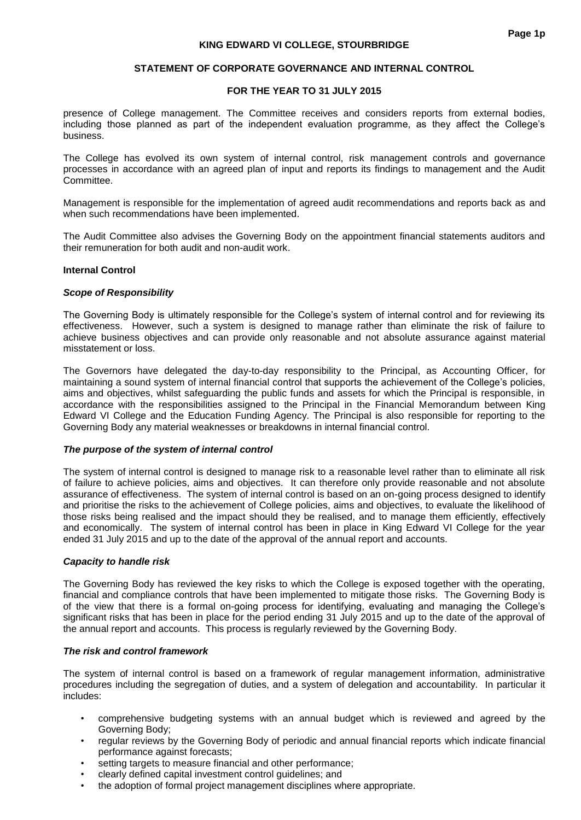#### **STATEMENT OF CORPORATE GOVERNANCE AND INTERNAL CONTROL**

#### **FOR THE YEAR TO 31 JULY 2015**

presence of College management. The Committee receives and considers reports from external bodies, including those planned as part of the independent evaluation programme, as they affect the College's business.

The College has evolved its own system of internal control, risk management controls and governance processes in accordance with an agreed plan of input and reports its findings to management and the Audit Committee.

Management is responsible for the implementation of agreed audit recommendations and reports back as and when such recommendations have been implemented.

The Audit Committee also advises the Governing Body on the appointment financial statements auditors and their remuneration for both audit and non-audit work.

#### **Internal Control**

#### *Scope of Responsibility*

The Governing Body is ultimately responsible for the College's system of internal control and for reviewing its effectiveness. However, such a system is designed to manage rather than eliminate the risk of failure to achieve business objectives and can provide only reasonable and not absolute assurance against material misstatement or loss.

The Governors have delegated the day-to-day responsibility to the Principal, as Accounting Officer, for maintaining a sound system of internal financial control that supports the achievement of the College's policies, aims and objectives, whilst safeguarding the public funds and assets for which the Principal is responsible, in accordance with the responsibilities assigned to the Principal in the Financial Memorandum between King Edward VI College and the Education Funding Agency. The Principal is also responsible for reporting to the Governing Body any material weaknesses or breakdowns in internal financial control.

#### *The purpose of the system of internal control*

The system of internal control is designed to manage risk to a reasonable level rather than to eliminate all risk of failure to achieve policies, aims and objectives. It can therefore only provide reasonable and not absolute assurance of effectiveness. The system of internal control is based on an on-going process designed to identify and prioritise the risks to the achievement of College policies, aims and objectives, to evaluate the likelihood of those risks being realised and the impact should they be realised, and to manage them efficiently, effectively and economically. The system of internal control has been in place in King Edward VI College for the year ended 31 July 2015 and up to the date of the approval of the annual report and accounts.

#### *Capacity to handle risk*

The Governing Body has reviewed the key risks to which the College is exposed together with the operating, financial and compliance controls that have been implemented to mitigate those risks. The Governing Body is of the view that there is a formal on-going process for identifying, evaluating and managing the College's significant risks that has been in place for the period ending 31 July 2015 and up to the date of the approval of the annual report and accounts. This process is regularly reviewed by the Governing Body.

#### *The risk and control framework*

The system of internal control is based on a framework of regular management information, administrative procedures including the segregation of duties, and a system of delegation and accountability. In particular it includes:

- comprehensive budgeting systems with an annual budget which is reviewed and agreed by the Governing Body;
- regular reviews by the Governing Body of periodic and annual financial reports which indicate financial performance against forecasts;
- setting targets to measure financial and other performance;
- clearly defined capital investment control guidelines; and
- the adoption of formal project management disciplines where appropriate.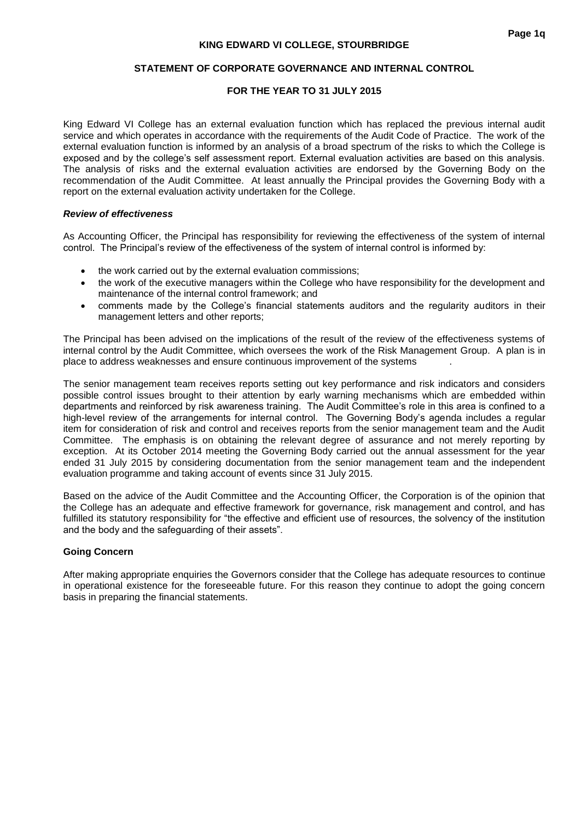#### **STATEMENT OF CORPORATE GOVERNANCE AND INTERNAL CONTROL**

### **FOR THE YEAR TO 31 JULY 2015**

King Edward VI College has an external evaluation function which has replaced the previous internal audit service and which operates in accordance with the requirements of the Audit Code of Practice. The work of the external evaluation function is informed by an analysis of a broad spectrum of the risks to which the College is exposed and by the college's self assessment report. External evaluation activities are based on this analysis. The analysis of risks and the external evaluation activities are endorsed by the Governing Body on the recommendation of the Audit Committee. At least annually the Principal provides the Governing Body with a report on the external evaluation activity undertaken for the College.

#### *Review of effectiveness*

As Accounting Officer, the Principal has responsibility for reviewing the effectiveness of the system of internal control. The Principal's review of the effectiveness of the system of internal control is informed by:

- the work carried out by the external evaluation commissions;
- the work of the executive managers within the College who have responsibility for the development and maintenance of the internal control framework; and
- comments made by the College's financial statements auditors and the regularity auditors in their management letters and other reports;

The Principal has been advised on the implications of the result of the review of the effectiveness systems of internal control by the Audit Committee, which oversees the work of the Risk Management Group. A plan is in place to address weaknesses and ensure continuous improvement of the systems .

The senior management team receives reports setting out key performance and risk indicators and considers possible control issues brought to their attention by early warning mechanisms which are embedded within departments and reinforced by risk awareness training. The Audit Committee's role in this area is confined to a high-level review of the arrangements for internal control. The Governing Body's agenda includes a regular item for consideration of risk and control and receives reports from the senior management team and the Audit Committee. The emphasis is on obtaining the relevant degree of assurance and not merely reporting by exception. At its October 2014 meeting the Governing Body carried out the annual assessment for the year ended 31 July 2015 by considering documentation from the senior management team and the independent evaluation programme and taking account of events since 31 July 2015.

Based on the advice of the Audit Committee and the Accounting Officer, the Corporation is of the opinion that the College has an adequate and effective framework for governance, risk management and control, and has fulfilled its statutory responsibility for "the effective and efficient use of resources, the solvency of the institution and the body and the safeguarding of their assets".

### **Going Concern**

After making appropriate enquiries the Governors consider that the College has adequate resources to continue in operational existence for the foreseeable future. For this reason they continue to adopt the going concern basis in preparing the financial statements.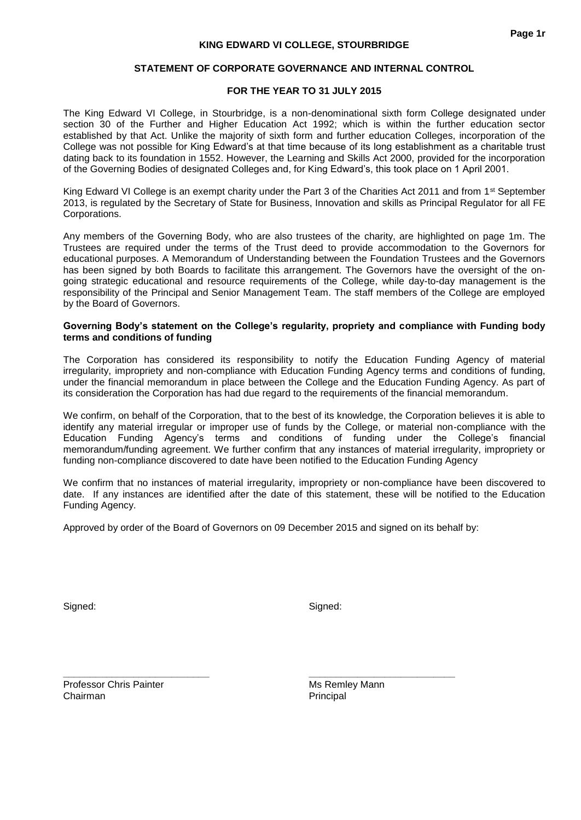#### **STATEMENT OF CORPORATE GOVERNANCE AND INTERNAL CONTROL**

#### **FOR THE YEAR TO 31 JULY 2015**

The King Edward VI College, in Stourbridge, is a non-denominational sixth form College designated under section 30 of the Further and Higher Education Act 1992; which is within the further education sector established by that Act. Unlike the majority of sixth form and further education Colleges, incorporation of the College was not possible for King Edward's at that time because of its long establishment as a charitable trust dating back to its foundation in 1552. However, the Learning and Skills Act 2000, provided for the incorporation of the Governing Bodies of designated Colleges and, for King Edward's, this took place on 1 April 2001.

King Edward VI College is an exempt charity under the Part 3 of the Charities Act 2011 and from 1st September 2013, is regulated by the Secretary of State for Business, Innovation and skills as Principal Regulator for all FE Corporations.

Any members of the Governing Body, who are also trustees of the charity, are highlighted on page 1m. The Trustees are required under the terms of the Trust deed to provide accommodation to the Governors for educational purposes. A Memorandum of Understanding between the Foundation Trustees and the Governors has been signed by both Boards to facilitate this arrangement. The Governors have the oversight of the ongoing strategic educational and resource requirements of the College, while day-to-day management is the responsibility of the Principal and Senior Management Team. The staff members of the College are employed by the Board of Governors.

#### **Governing Body's statement on the College's regularity, propriety and compliance with Funding body terms and conditions of funding**

The Corporation has considered its responsibility to notify the Education Funding Agency of material irregularity, impropriety and non-compliance with Education Funding Agency terms and conditions of funding, under the financial memorandum in place between the College and the Education Funding Agency. As part of its consideration the Corporation has had due regard to the requirements of the financial memorandum.

We confirm, on behalf of the Corporation, that to the best of its knowledge, the Corporation believes it is able to identify any material irregular or improper use of funds by the College, or material non-compliance with the Education Funding Agency's terms and conditions of funding under the College's financial memorandum/funding agreement. We further confirm that any instances of material irregularity, impropriety or funding non-compliance discovered to date have been notified to the Education Funding Agency

We confirm that no instances of material irregularity, impropriety or non-compliance have been discovered to date. If any instances are identified after the date of this statement, these will be notified to the Education Funding Agency.

Approved by order of the Board of Governors on 09 December 2015 and signed on its behalf by:

Signed: Signed: Signed: Signed: Signed: Signed: Signed: Signed: Signed: Signed: Signed: Signed: Signed: Signed: Signed: Signed: Signed: Signed: Signed: Signed: Signed: Signed: Signed: Signed: Signed: Signed: Signed: Signed

Professor Chris Painter Music Christener Music Professor Christener Music Professor Christener Music Professor Chairman **Principal** 

**\_\_\_\_\_\_\_\_\_\_\_\_\_\_\_\_\_\_\_\_\_\_\_\_\_\_\_ \_\_\_\_\_\_\_\_\_\_\_\_\_\_\_\_\_\_\_\_\_\_\_\_\_\_\_**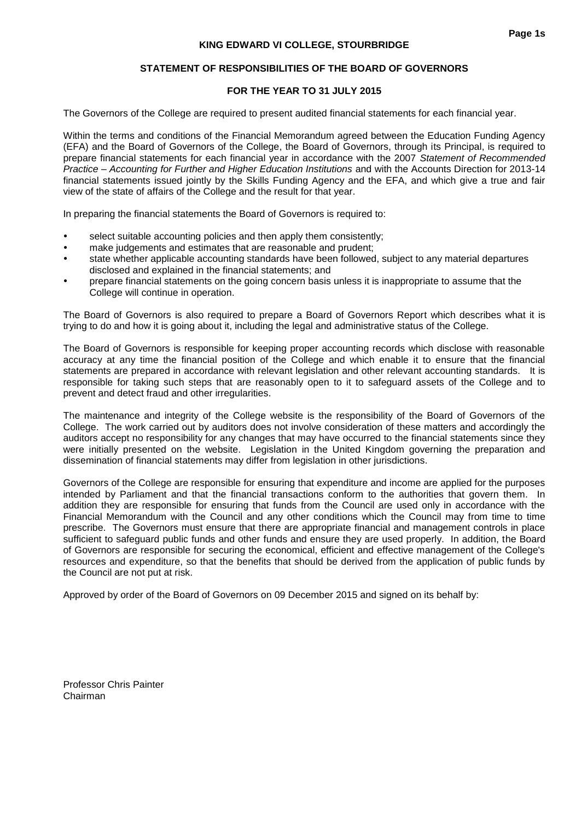#### **STATEMENT OF RESPONSIBILITIES OF THE BOARD OF GOVERNORS**

#### **FOR THE YEAR TO 31 JULY 2015**

The Governors of the College are required to present audited financial statements for each financial year.

Within the terms and conditions of the Financial Memorandum agreed between the Education Funding Agency (EFA) and the Board of Governors of the College, the Board of Governors, through its Principal, is required to prepare financial statements for each financial year in accordance with the 2007 *Statement of Recommended Practice – Accounting for Further and Higher Education Institutions* and with the Accounts Direction for 2013-14 financial statements issued jointly by the Skills Funding Agency and the EFA, and which give a true and fair view of the state of affairs of the College and the result for that year.

In preparing the financial statements the Board of Governors is required to:

- select suitable accounting policies and then apply them consistently;
- make judgements and estimates that are reasonable and prudent;
- state whether applicable accounting standards have been followed, subject to any material departures disclosed and explained in the financial statements; and
- prepare financial statements on the going concern basis unless it is inappropriate to assume that the College will continue in operation.

The Board of Governors is also required to prepare a Board of Governors Report which describes what it is trying to do and how it is going about it, including the legal and administrative status of the College.

The Board of Governors is responsible for keeping proper accounting records which disclose with reasonable accuracy at any time the financial position of the College and which enable it to ensure that the financial statements are prepared in accordance with relevant legislation and other relevant accounting standards. It is responsible for taking such steps that are reasonably open to it to safeguard assets of the College and to prevent and detect fraud and other irregularities.

The maintenance and integrity of the College website is the responsibility of the Board of Governors of the College. The work carried out by auditors does not involve consideration of these matters and accordingly the auditors accept no responsibility for any changes that may have occurred to the financial statements since they were initially presented on the website. Legislation in the United Kingdom governing the preparation and dissemination of financial statements may differ from legislation in other jurisdictions.

Governors of the College are responsible for ensuring that expenditure and income are applied for the purposes intended by Parliament and that the financial transactions conform to the authorities that govern them. In addition they are responsible for ensuring that funds from the Council are used only in accordance with the Financial Memorandum with the Council and any other conditions which the Council may from time to time prescribe. The Governors must ensure that there are appropriate financial and management controls in place sufficient to safeguard public funds and other funds and ensure they are used properly. In addition, the Board of Governors are responsible for securing the economical, efficient and effective management of the College's resources and expenditure, so that the benefits that should be derived from the application of public funds by the Council are not put at risk.

Approved by order of the Board of Governors on 09 December 2015 and signed on its behalf by:

Professor Chris Painter Chairman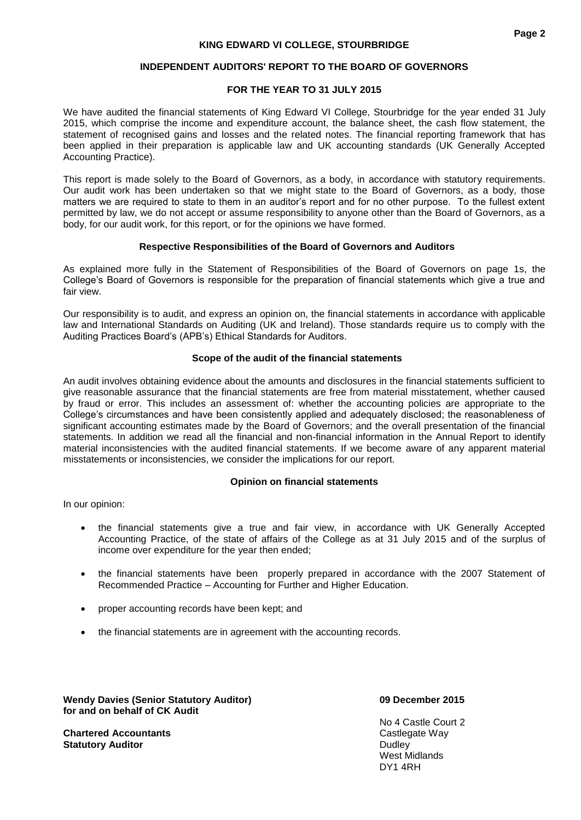### **FOR THE YEAR TO 31 JULY 2015**

We have audited the financial statements of King Edward VI College, Stourbridge for the year ended 31 July 2015, which comprise the income and expenditure account, the balance sheet, the cash flow statement, the statement of recognised gains and losses and the related notes. The financial reporting framework that has been applied in their preparation is applicable law and UK accounting standards (UK Generally Accepted Accounting Practice).

This report is made solely to the Board of Governors, as a body, in accordance with statutory requirements. Our audit work has been undertaken so that we might state to the Board of Governors, as a body, those matters we are required to state to them in an auditor's report and for no other purpose. To the fullest extent permitted by law, we do not accept or assume responsibility to anyone other than the Board of Governors, as a body, for our audit work, for this report, or for the opinions we have formed.

#### **Respective Responsibilities of the Board of Governors and Auditors**

As explained more fully in the Statement of Responsibilities of the Board of Governors on page 1s, the College's Board of Governors is responsible for the preparation of financial statements which give a true and fair view.

Our responsibility is to audit, and express an opinion on, the financial statements in accordance with applicable law and International Standards on Auditing (UK and Ireland). Those standards require us to comply with the Auditing Practices Board's (APB's) Ethical Standards for Auditors.

#### **Scope of the audit of the financial statements**

An audit involves obtaining evidence about the amounts and disclosures in the financial statements sufficient to give reasonable assurance that the financial statements are free from material misstatement, whether caused by fraud or error. This includes an assessment of: whether the accounting policies are appropriate to the College's circumstances and have been consistently applied and adequately disclosed; the reasonableness of significant accounting estimates made by the Board of Governors; and the overall presentation of the financial statements. In addition we read all the financial and non-financial information in the Annual Report to identify material inconsistencies with the audited financial statements. If we become aware of any apparent material misstatements or inconsistencies, we consider the implications for our report.

#### **Opinion on financial statements**

In our opinion:

- the financial statements give a true and fair view, in accordance with UK Generally Accepted Accounting Practice, of the state of affairs of the College as at 31 July 2015 and of the surplus of income over expenditure for the year then ended;
- the financial statements have been properly prepared in accordance with the 2007 Statement of Recommended Practice – Accounting for Further and Higher Education.
- proper accounting records have been kept; and
- the financial statements are in agreement with the accounting records.

**Wendy Davies (Senior Statutory Auditor) 09 December 2015 for and on behalf of CK Audit** 

**Chartered Accountants Castlegate Way Statutory Auditor Dudley Dudley <b>Contract Contract Contract Contract Contract Contract Contract Dudley <b>Dudley** 

No 4 Castle Court 2 West Midlands DY1 4RH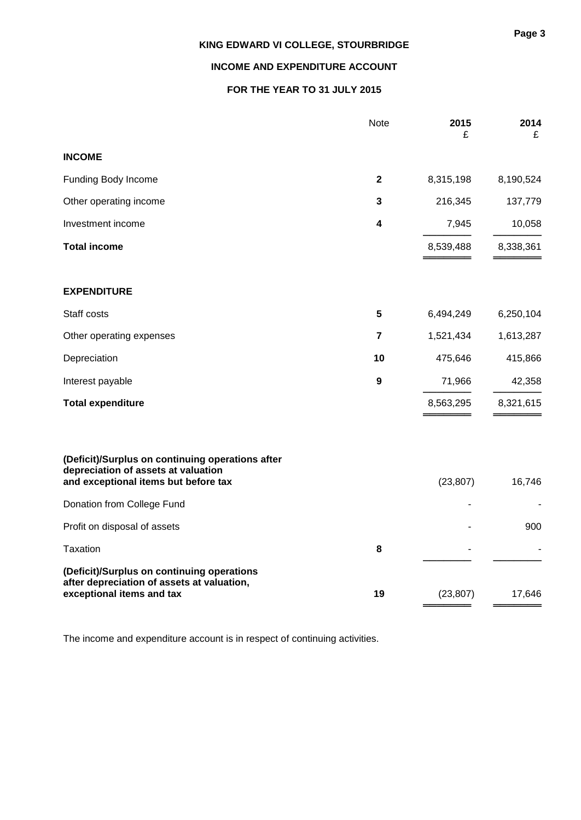### **INCOME AND EXPENDITURE ACCOUNT**

### **FOR THE YEAR TO 31 JULY 2015**

|                                                                                                                                 | <b>Note</b>      | 2015<br>£ | 2014<br>£ |
|---------------------------------------------------------------------------------------------------------------------------------|------------------|-----------|-----------|
| <b>INCOME</b>                                                                                                                   |                  |           |           |
| Funding Body Income                                                                                                             | $\mathbf 2$      | 8,315,198 | 8,190,524 |
| Other operating income                                                                                                          | 3                | 216,345   | 137,779   |
| Investment income                                                                                                               | 4                | 7,945     | 10,058    |
| <b>Total income</b>                                                                                                             |                  | 8,539,488 | 8,338,361 |
| <b>EXPENDITURE</b>                                                                                                              |                  |           |           |
| Staff costs                                                                                                                     | 5                | 6,494,249 | 6,250,104 |
| Other operating expenses                                                                                                        | 7                | 1,521,434 | 1,613,287 |
| Depreciation                                                                                                                    | 10               | 475,646   | 415,866   |
| Interest payable                                                                                                                | $\boldsymbol{9}$ | 71,966    | 42,358    |
| <b>Total expenditure</b>                                                                                                        |                  | 8,563,295 | 8,321,615 |
| (Deficit)/Surplus on continuing operations after<br>depreciation of assets at valuation<br>and exceptional items but before tax |                  | (23, 807) | 16,746    |
| Donation from College Fund                                                                                                      |                  |           |           |
| Profit on disposal of assets                                                                                                    |                  |           | 900       |
| <b>Taxation</b>                                                                                                                 | 8                |           |           |
| (Deficit)/Surplus on continuing operations<br>after depreciation of assets at valuation,<br>exceptional items and tax           | 19               | (23, 807) | 17,646    |

The income and expenditure account is in respect of continuing activities.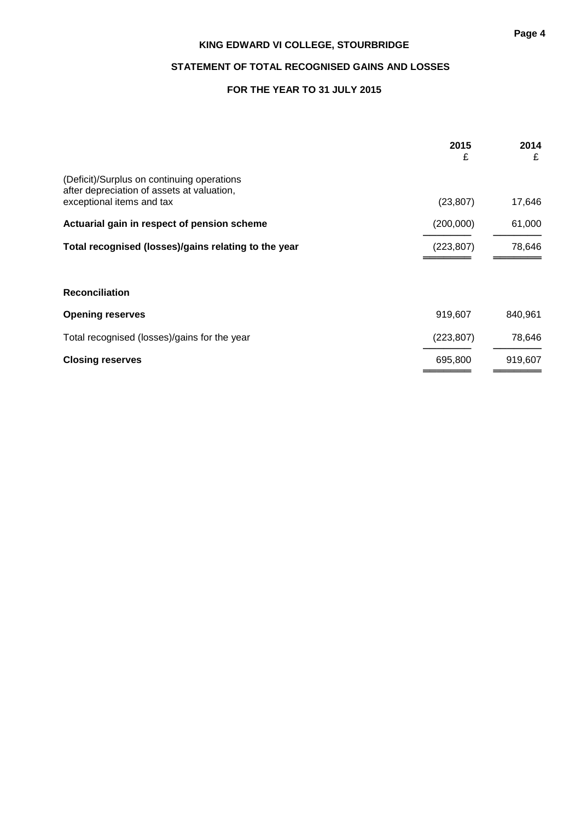### **STATEMENT OF TOTAL RECOGNISED GAINS AND LOSSES**

### **FOR THE YEAR TO 31 JULY 2015**

|                                                                                                                       | 2015<br>£  | 2014<br>£ |
|-----------------------------------------------------------------------------------------------------------------------|------------|-----------|
| (Deficit)/Surplus on continuing operations<br>after depreciation of assets at valuation,<br>exceptional items and tax | (23, 807)  | 17,646    |
| Actuarial gain in respect of pension scheme                                                                           | (200,000)  | 61,000    |
| Total recognised (losses)/gains relating to the year                                                                  | (223, 807) | 78,646    |
|                                                                                                                       |            |           |
| <b>Reconciliation</b>                                                                                                 |            |           |
| <b>Opening reserves</b>                                                                                               | 919,607    | 840,961   |
| Total recognised (losses)/gains for the year                                                                          | (223, 807) | 78,646    |
| <b>Closing reserves</b>                                                                                               | 695,800    | 919,607   |
|                                                                                                                       |            |           |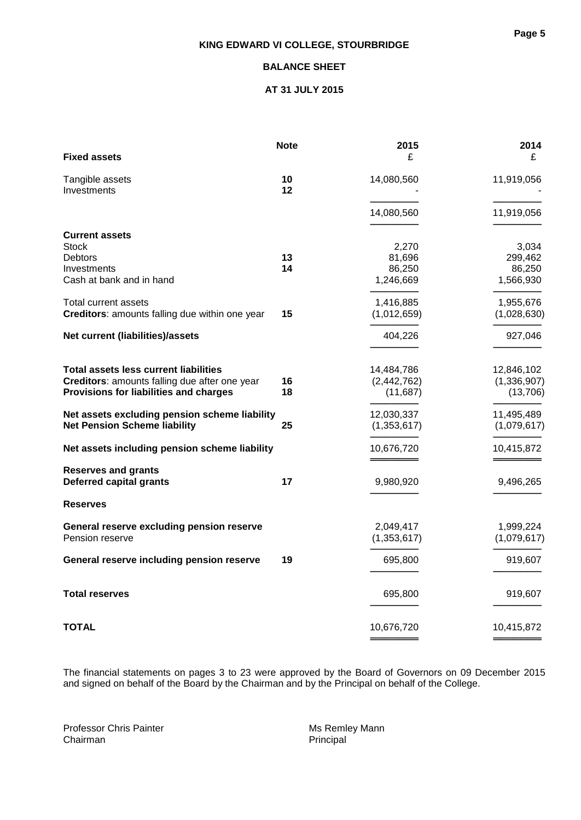### **BALANCE SHEET**

### **AT 31 JULY 2015**

| <b>Fixed assets</b>                                                                                                                     | <b>Note</b> | 2015<br>£                             | 2014<br>£                               |
|-----------------------------------------------------------------------------------------------------------------------------------------|-------------|---------------------------------------|-----------------------------------------|
| Tangible assets<br>Investments                                                                                                          | 10<br>12    | 14,080,560                            | 11,919,056                              |
|                                                                                                                                         |             | 14,080,560                            | 11,919,056                              |
| <b>Current assets</b><br><b>Stock</b><br><b>Debtors</b>                                                                                 | 13          | 2,270<br>81,696                       | 3,034<br>299,462                        |
| Investments<br>Cash at bank and in hand                                                                                                 | 14          | 86,250<br>1,246,669                   | 86,250<br>1,566,930                     |
| Total current assets<br>Creditors: amounts falling due within one year                                                                  | 15          | 1,416,885<br>(1,012,659)              | 1,955,676<br>(1,028,630)                |
| Net current (liabilities)/assets                                                                                                        |             | 404,226                               | 927,046                                 |
| <b>Total assets less current liabilities</b><br>Creditors: amounts falling due after one year<br>Provisions for liabilities and charges | 16<br>18    | 14,484,786<br>(2,442,762)<br>(11,687) | 12,846,102<br>(1, 336, 907)<br>(13,706) |
| Net assets excluding pension scheme liability<br><b>Net Pension Scheme liability</b>                                                    | 25          | 12,030,337<br>(1,353,617)             | 11,495,489<br>(1,079,617)               |
| Net assets including pension scheme liability                                                                                           |             | 10,676,720                            | 10,415,872                              |
| <b>Reserves and grants</b><br><b>Deferred capital grants</b>                                                                            | 17          | 9,980,920                             | 9,496,265                               |
| <b>Reserves</b>                                                                                                                         |             |                                       |                                         |
| General reserve excluding pension reserve<br>Pension reserve                                                                            |             | 2,049,417<br>(1,353,617)              | 1,999,224<br>(1,079,617)                |
| General reserve including pension reserve                                                                                               | 19          | 695,800                               | 919,607                                 |
| <b>Total reserves</b>                                                                                                                   |             | 695,800                               | 919,607                                 |
| <b>TOTAL</b>                                                                                                                            |             | 10,676,720                            | 10,415,872                              |

The financial statements on pages 3 to 23 were approved by the Board of Governors on 09 December 2015 and signed on behalf of the Board by the Chairman and by the Principal on behalf of the College.

Professor Chris Painter Music Chris Painter Music Chairman<br>
Chairman<br>
Principal Chairman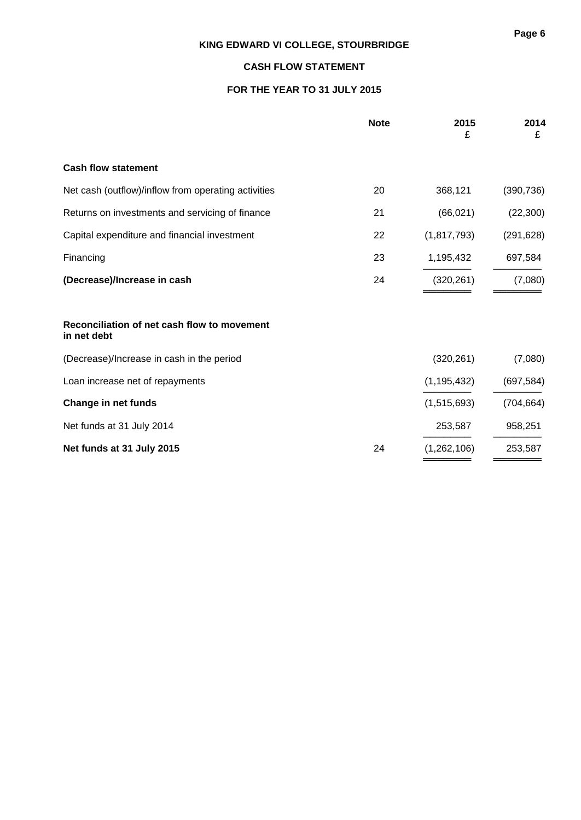### **CASH FLOW STATEMENT**

### **FOR THE YEAR TO 31 JULY 2015**

|                                                            | <b>Note</b> | 2015<br>£     | 2014<br>£  |
|------------------------------------------------------------|-------------|---------------|------------|
| <b>Cash flow statement</b>                                 |             |               |            |
| Net cash (outflow)/inflow from operating activities        | 20          | 368,121       | (390, 736) |
| Returns on investments and servicing of finance            | 21          | (66, 021)     | (22, 300)  |
| Capital expenditure and financial investment               | 22          | (1,817,793)   | (291, 628) |
| Financing                                                  | 23          | 1,195,432     | 697,584    |
| (Decrease)/Increase in cash                                | 24          | (320, 261)    | (7,080)    |
| Reconciliation of net cash flow to movement<br>in net debt |             |               |            |
| (Decrease)/Increase in cash in the period                  |             | (320, 261)    | (7,080)    |
| Loan increase net of repayments                            |             | (1, 195, 432) | (697, 584) |
| Change in net funds                                        |             | (1,515,693)   | (704, 664) |
| Net funds at 31 July 2014                                  |             | 253,587       | 958,251    |
| Net funds at 31 July 2015                                  | 24          | (1,262,106)   | 253,587    |

══════════<br>═══════════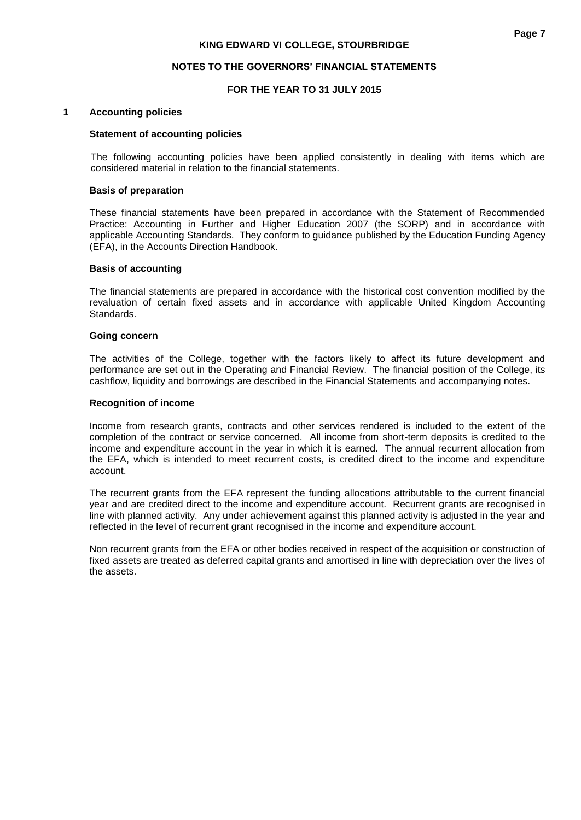#### **NOTES TO THE GOVERNORS' FINANCIAL STATEMENTS**

#### **FOR THE YEAR TO 31 JULY 2015**

#### **1 Accounting policies**

#### **Statement of accounting policies**

The following accounting policies have been applied consistently in dealing with items which are considered material in relation to the financial statements.

#### **Basis of preparation**

These financial statements have been prepared in accordance with the Statement of Recommended Practice: Accounting in Further and Higher Education 2007 (the SORP) and in accordance with applicable Accounting Standards. They conform to guidance published by the Education Funding Agency (EFA), in the Accounts Direction Handbook.

#### **Basis of accounting**

The financial statements are prepared in accordance with the historical cost convention modified by the revaluation of certain fixed assets and in accordance with applicable United Kingdom Accounting Standards.

#### **Going concern**

The activities of the College, together with the factors likely to affect its future development and performance are set out in the Operating and Financial Review. The financial position of the College, its cashflow, liquidity and borrowings are described in the Financial Statements and accompanying notes.

#### **Recognition of income**

Income from research grants, contracts and other services rendered is included to the extent of the completion of the contract or service concerned. All income from short-term deposits is credited to the income and expenditure account in the year in which it is earned. The annual recurrent allocation from the EFA, which is intended to meet recurrent costs, is credited direct to the income and expenditure account.

The recurrent grants from the EFA represent the funding allocations attributable to the current financial year and are credited direct to the income and expenditure account. Recurrent grants are recognised in line with planned activity. Any under achievement against this planned activity is adjusted in the year and reflected in the level of recurrent grant recognised in the income and expenditure account.

Non recurrent grants from the EFA or other bodies received in respect of the acquisition or construction of fixed assets are treated as deferred capital grants and amortised in line with depreciation over the lives of the assets.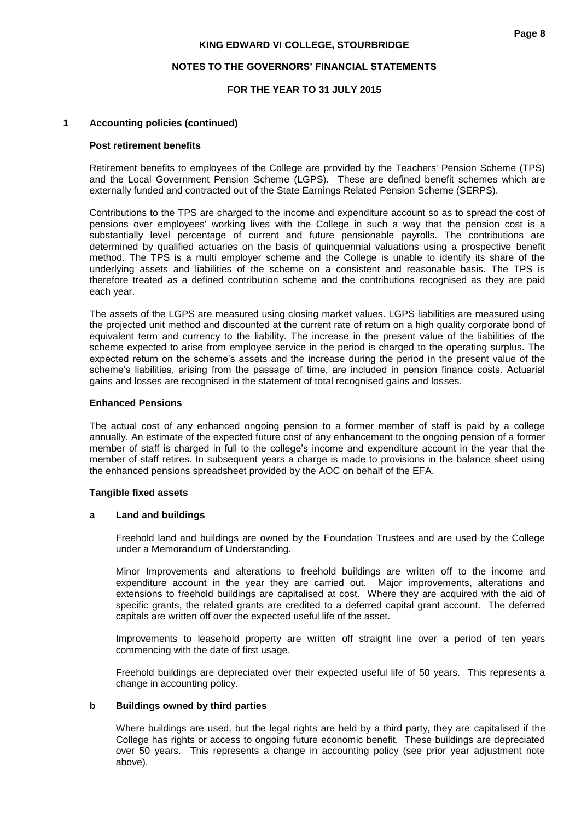#### **NOTES TO THE GOVERNORS' FINANCIAL STATEMENTS**

#### **FOR THE YEAR TO 31 JULY 2015**

#### **1 Accounting policies (continued)**

#### **Post retirement benefits**

Retirement benefits to employees of the College are provided by the Teachers' Pension Scheme (TPS) and the Local Government Pension Scheme (LGPS). These are defined benefit schemes which are externally funded and contracted out of the State Earnings Related Pension Scheme (SERPS).

Contributions to the TPS are charged to the income and expenditure account so as to spread the cost of pensions over employees' working lives with the College in such a way that the pension cost is a substantially level percentage of current and future pensionable payrolls. The contributions are determined by qualified actuaries on the basis of quinquennial valuations using a prospective benefit method. The TPS is a multi employer scheme and the College is unable to identify its share of the underlying assets and liabilities of the scheme on a consistent and reasonable basis. The TPS is therefore treated as a defined contribution scheme and the contributions recognised as they are paid each year.

The assets of the LGPS are measured using closing market values. LGPS liabilities are measured using the projected unit method and discounted at the current rate of return on a high quality corporate bond of equivalent term and currency to the liability. The increase in the present value of the liabilities of the scheme expected to arise from employee service in the period is charged to the operating surplus. The expected return on the scheme's assets and the increase during the period in the present value of the scheme's liabilities, arising from the passage of time, are included in pension finance costs. Actuarial gains and losses are recognised in the statement of total recognised gains and losses.

#### **Enhanced Pensions**

The actual cost of any enhanced ongoing pension to a former member of staff is paid by a college annually. An estimate of the expected future cost of any enhancement to the ongoing pension of a former member of staff is charged in full to the college's income and expenditure account in the year that the member of staff retires. In subsequent years a charge is made to provisions in the balance sheet using the enhanced pensions spreadsheet provided by the AOC on behalf of the EFA.

#### **Tangible fixed assets**

#### **a Land and buildings**

Freehold land and buildings are owned by the Foundation Trustees and are used by the College under a Memorandum of Understanding.

Minor Improvements and alterations to freehold buildings are written off to the income and expenditure account in the year they are carried out. Major improvements, alterations and extensions to freehold buildings are capitalised at cost. Where they are acquired with the aid of specific grants, the related grants are credited to a deferred capital grant account. The deferred capitals are written off over the expected useful life of the asset.

Improvements to leasehold property are written off straight line over a period of ten years commencing with the date of first usage.

Freehold buildings are depreciated over their expected useful life of 50 years. This represents a change in accounting policy.

#### **b Buildings owned by third parties**

Where buildings are used, but the legal rights are held by a third party, they are capitalised if the College has rights or access to ongoing future economic benefit. These buildings are depreciated over 50 years. This represents a change in accounting policy (see prior year adjustment note above).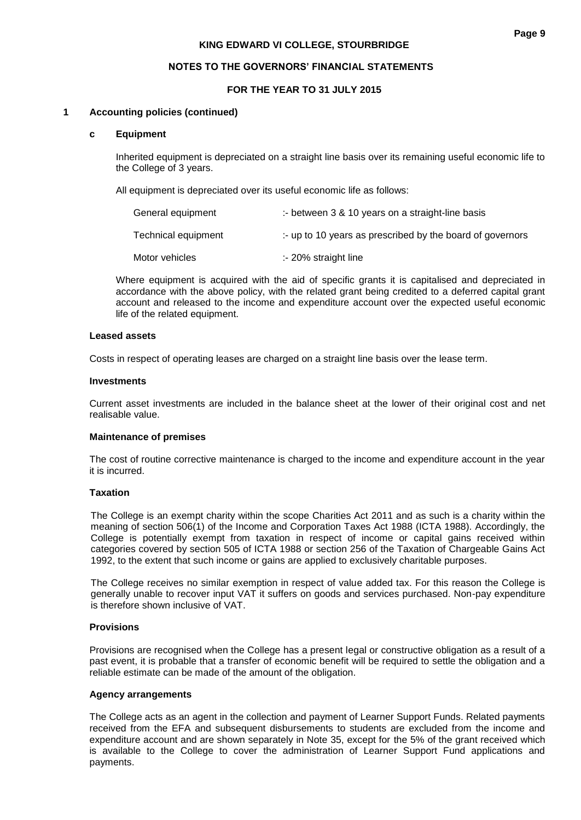### **FOR THE YEAR TO 31 JULY 2015**

#### **1 Accounting policies (continued)**

#### **c Equipment**

Inherited equipment is depreciated on a straight line basis over its remaining useful economic life to the College of 3 years.

All equipment is depreciated over its useful economic life as follows:

| General equipment   | :- between $3 \& 10$ years on a straight-line basis                 |
|---------------------|---------------------------------------------------------------------|
| Technical equipment | $\therefore$ up to 10 years as prescribed by the board of governors |
| Motor vehicles      | :- 20% straight line                                                |

Where equipment is acquired with the aid of specific grants it is capitalised and depreciated in accordance with the above policy, with the related grant being credited to a deferred capital grant account and released to the income and expenditure account over the expected useful economic life of the related equipment.

#### **Leased assets**

Costs in respect of operating leases are charged on a straight line basis over the lease term.

#### **Investments**

Current asset investments are included in the balance sheet at the lower of their original cost and net realisable value.

### **Maintenance of premises**

The cost of routine corrective maintenance is charged to the income and expenditure account in the year it is incurred.

#### **Taxation**

The College is an exempt charity within the scope Charities Act 2011 and as such is a charity within the meaning of section 506(1) of the Income and Corporation Taxes Act 1988 (ICTA 1988). Accordingly, the College is potentially exempt from taxation in respect of income or capital gains received within categories covered by section 505 of ICTA 1988 or section 256 of the Taxation of Chargeable Gains Act 1992, to the extent that such income or gains are applied to exclusively charitable purposes.

The College receives no similar exemption in respect of value added tax. For this reason the College is generally unable to recover input VAT it suffers on goods and services purchased. Non-pay expenditure is therefore shown inclusive of VAT.

### **Provisions**

Provisions are recognised when the College has a present legal or constructive obligation as a result of a past event, it is probable that a transfer of economic benefit will be required to settle the obligation and a reliable estimate can be made of the amount of the obligation.

#### **Agency arrangements**

The College acts as an agent in the collection and payment of Learner Support Funds. Related payments received from the EFA and subsequent disbursements to students are excluded from the income and expenditure account and are shown separately in Note 35, except for the 5% of the grant received which is available to the College to cover the administration of Learner Support Fund applications and payments.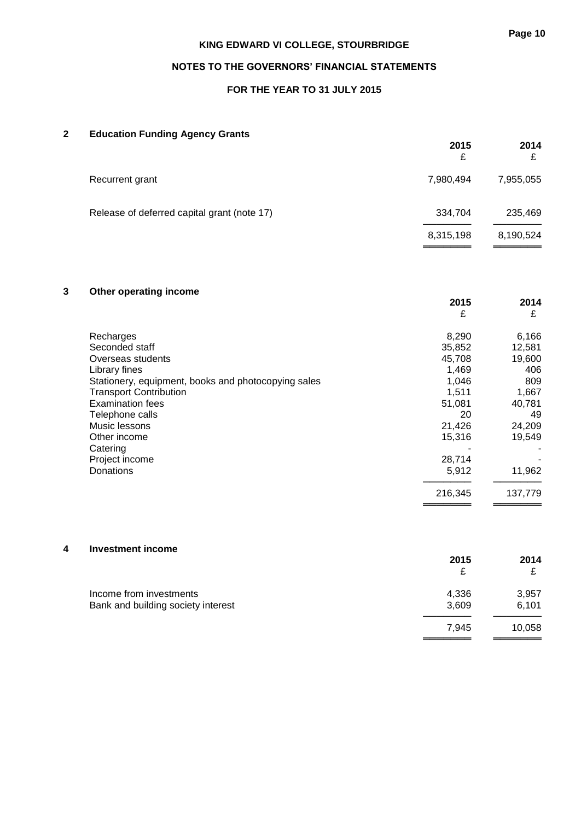══════════<br>═══════════

## **KING EDWARD VI COLLEGE, STOURBRIDGE**

### **NOTES TO THE GOVERNORS' FINANCIAL STATEMENTS**

### **FOR THE YEAR TO 31 JULY 2015**

### **2 Education Funding Agency Grants**

|                                             | 2015<br>£ | 2014<br>£ |
|---------------------------------------------|-----------|-----------|
| Recurrent grant                             | 7,980,494 | 7,955,055 |
| Release of deferred capital grant (note 17) | 334,704   | 235,469   |
|                                             | 8,315,198 | 8,190,524 |

## **3 Other operating income**

|                                                     | 2015<br>£ | 2014<br>£ |
|-----------------------------------------------------|-----------|-----------|
| Recharges                                           | 8,290     | 6,166     |
| Seconded staff                                      | 35,852    | 12,581    |
| Overseas students                                   | 45,708    | 19,600    |
| Library fines                                       | 1,469     | 406       |
| Stationery, equipment, books and photocopying sales | 1,046     | 809       |
| <b>Transport Contribution</b>                       | 1,511     | 1,667     |
| <b>Examination fees</b>                             | 51,081    | 40,781    |
| Telephone calls                                     | 20        | 49        |
| Music lessons                                       | 21,426    | 24,209    |
| Other income                                        | 15,316    | 19,549    |
| Catering                                            |           |           |
| Project income                                      | 28,714    |           |
| Donations                                           | 5,912     | 11,962    |
|                                                     | 216,345   | 137,779   |
|                                                     |           |           |

#### **4 Investment income**

|                                    | 2015           | 2014<br>£      |
|------------------------------------|----------------|----------------|
| Income from investments            | 4.336<br>3.609 | 3,957<br>6.101 |
| Bank and building society interest | 7.945          | 10,058         |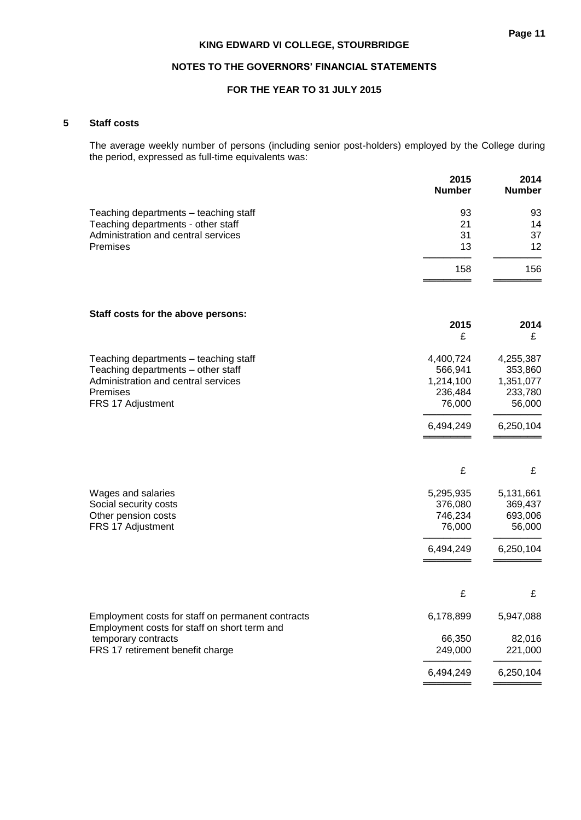### **NOTES TO THE GOVERNORS' FINANCIAL STATEMENTS**

### **FOR THE YEAR TO 31 JULY 2015**

#### **5 Staff costs**

The average weekly number of persons (including senior post-holders) employed by the College during the period, expressed as full-time equivalents was:

|                                                                                                   | 2015<br><b>Number</b> | 2014<br><b>Number</b> |
|---------------------------------------------------------------------------------------------------|-----------------------|-----------------------|
| Teaching departments - teaching staff                                                             | 93                    | 93                    |
| Teaching departments - other staff                                                                | 21                    | 14                    |
| Administration and central services                                                               | 31                    | 37                    |
| Premises                                                                                          | 13                    | 12                    |
|                                                                                                   | 158                   | 156                   |
| Staff costs for the above persons:                                                                | 2015                  | 2014                  |
|                                                                                                   | £                     | £                     |
| Teaching departments - teaching staff                                                             | 4,400,724             | 4,255,387             |
| Teaching departments - other staff                                                                | 566,941               | 353,860               |
| Administration and central services                                                               | 1,214,100             | 1,351,077             |
| Premises                                                                                          | 236,484               | 233,780               |
| FRS 17 Adjustment                                                                                 | 76,000                | 56,000                |
|                                                                                                   | 6,494,249             | 6,250,104             |
|                                                                                                   | £                     | £                     |
| Wages and salaries                                                                                | 5,295,935             | 5,131,661             |
| Social security costs                                                                             | 376,080               | 369,437               |
| Other pension costs                                                                               | 746,234               | 693,006               |
| FRS 17 Adjustment                                                                                 | 76,000                | 56,000                |
|                                                                                                   | 6,494,249             | 6,250,104             |
|                                                                                                   | £                     | £                     |
| Employment costs for staff on permanent contracts<br>Employment costs for staff on short term and | 6,178,899             | 5,947,088             |
| temporary contracts                                                                               | 66,350                | 82,016                |
| FRS 17 retirement benefit charge                                                                  | 249,000               | 221,000               |
|                                                                                                   | 6,494,249             | 6,250,104             |
|                                                                                                   |                       |                       |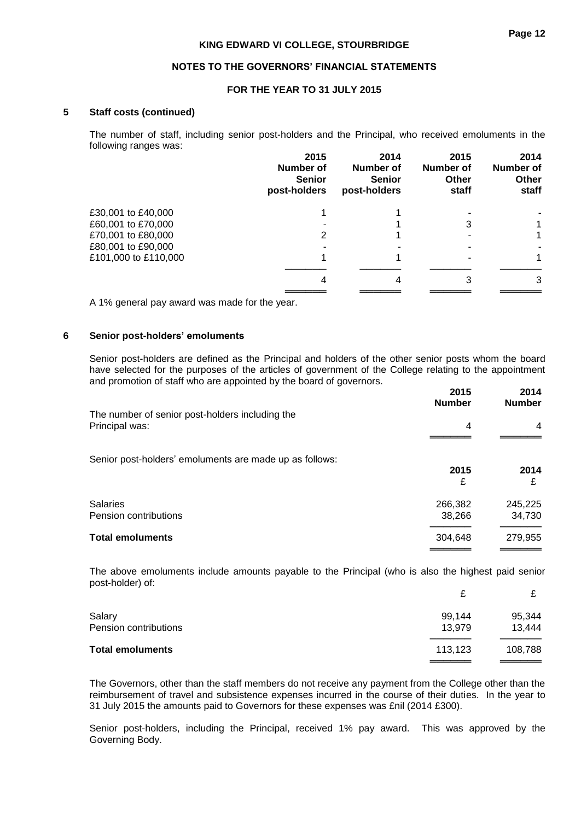#### **NOTES TO THE GOVERNORS' FINANCIAL STATEMENTS**

### **FOR THE YEAR TO 31 JULY 2015**

#### **5 Staff costs (continued)**

The number of staff, including senior post-holders and the Principal, who received emoluments in the following ranges was:

|                      | 2015<br>Number of<br><b>Senior</b><br>post-holders | 2014<br><b>Number of</b><br><b>Senior</b><br>post-holders | 2015<br><b>Number of</b><br><b>Other</b><br>staff | 2014<br>Number of<br><b>Other</b><br>staff |
|----------------------|----------------------------------------------------|-----------------------------------------------------------|---------------------------------------------------|--------------------------------------------|
| £30,001 to £40,000   |                                                    |                                                           |                                                   |                                            |
| £60,001 to £70,000   |                                                    |                                                           | 3                                                 | 1                                          |
| £70,001 to £80,000   | 2                                                  |                                                           |                                                   | 1                                          |
| £80,001 to £90,000   |                                                    |                                                           |                                                   |                                            |
| £101,000 to £110,000 |                                                    |                                                           |                                                   | 1                                          |
|                      | 4                                                  |                                                           |                                                   | 3                                          |
|                      |                                                    |                                                           |                                                   |                                            |
|                      |                                                    |                                                           |                                                   |                                            |

A 1% general pay award was made for the year.

#### **6 Senior post-holders' emoluments**

Senior post-holders are defined as the Principal and holders of the other senior posts whom the board have selected for the purposes of the articles of government of the College relating to the appointment and promotion of staff who are appointed by the board of governors.

|                                                                   | 2015<br><b>Number</b> | 2014<br><b>Number</b> |
|-------------------------------------------------------------------|-----------------------|-----------------------|
| The number of senior post-holders including the<br>Principal was: | 4                     | 4                     |
| Senior post-holders' emoluments are made up as follows:           |                       |                       |
|                                                                   | 2015                  | 2014                  |
|                                                                   | £                     | £                     |
| <b>Salaries</b>                                                   | 266,382               | 245,225               |
| Pension contributions                                             | 38,266                | 34,730                |
| <b>Total emoluments</b>                                           | 304,648               | 279,955               |
|                                                                   |                       |                       |

The above emoluments include amounts payable to the Principal (who is also the highest paid senior post-holder) of:

|                         |         | ⌒       |
|-------------------------|---------|---------|
| Salary                  | 99,144  | 95,344  |
| Pension contributions   | 13.979  | 13,444  |
| <b>Total emoluments</b> | 113,123 | 108,788 |
|                         |         |         |

The Governors, other than the staff members do not receive any payment from the College other than the reimbursement of travel and subsistence expenses incurred in the course of their duties. In the year to 31 July 2015 the amounts paid to Governors for these expenses was £nil (2014 £300).

Senior post-holders, including the Principal, received 1% pay award. This was approved by the Governing Body.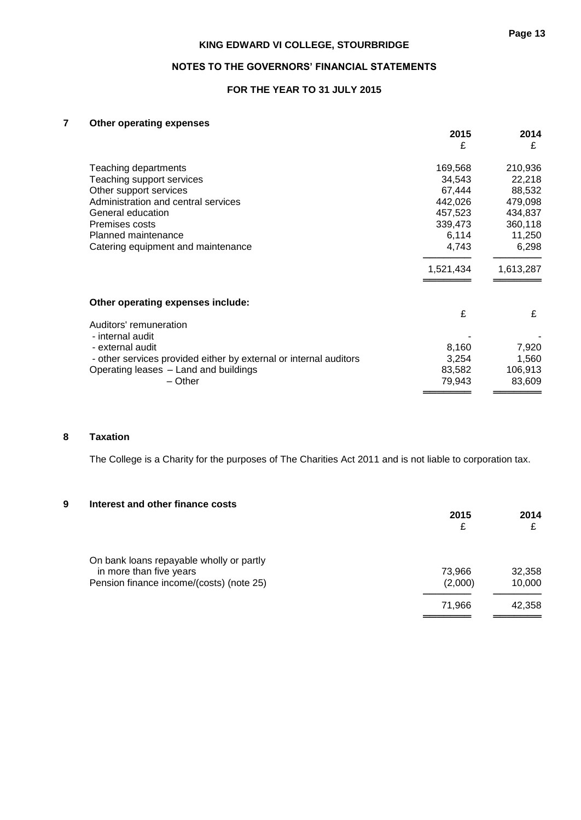### **NOTES TO THE GOVERNORS' FINANCIAL STATEMENTS**

### **FOR THE YEAR TO 31 JULY 2015**

### **7 Other operating expenses**

|                                                                   | 2015<br>£ | 2014<br>£ |
|-------------------------------------------------------------------|-----------|-----------|
|                                                                   |           |           |
| Teaching departments                                              | 169,568   | 210,936   |
| Teaching support services                                         | 34,543    | 22,218    |
| Other support services                                            | 67,444    | 88,532    |
| Administration and central services                               | 442,026   | 479,098   |
| General education                                                 | 457,523   | 434,837   |
| Premises costs                                                    | 339,473   | 360,118   |
| Planned maintenance                                               | 6,114     | 11,250    |
| Catering equipment and maintenance                                | 4,743     | 6,298     |
|                                                                   | 1,521,434 | 1,613,287 |
| Other operating expenses include:                                 |           |           |
| Auditors' remuneration                                            | £         | £         |
| - internal audit                                                  |           |           |
| - external audit                                                  | 8,160     | 7,920     |
| - other services provided either by external or internal auditors | 3,254     | 1,560     |
| Operating leases - Land and buildings                             | 83,582    | 106,913   |
| – Other                                                           | 79,943    | 83,609    |
|                                                                   |           |           |

### **8 Taxation**

The College is a Charity for the purposes of The Charities Act 2011 and is not liable to corporation tax.

#### **9 Interest and other finance costs**

|                                                                     | 2015<br>£         | 2014             |
|---------------------------------------------------------------------|-------------------|------------------|
| On bank loans repayable wholly or partly                            |                   |                  |
| in more than five years<br>Pension finance income/(costs) (note 25) | 73,966<br>(2,000) | 32,358<br>10,000 |
|                                                                     | 71,966            | 42,358           |
|                                                                     |                   |                  |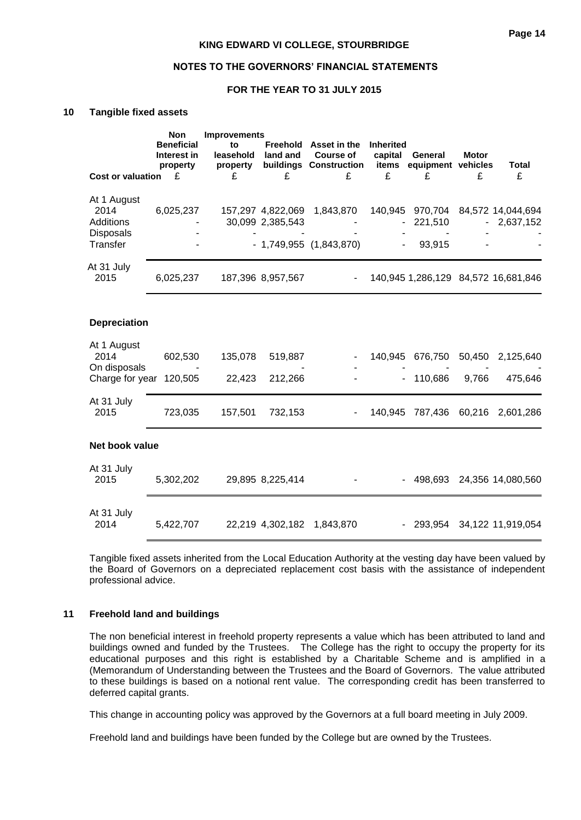#### **NOTES TO THE GOVERNORS' FINANCIAL STATEMENTS**

### **FOR THE YEAR TO 31 JULY 2015**

#### **10 Tangible fixed assets**

|                                         | <b>Non</b><br><b>Beneficial</b><br>Interest in<br>property | <b>Improvements</b><br>to<br>leasehold<br>property | land and          | Freehold Asset in the<br><b>Course of</b><br>buildings Construction items | <b>Inherited</b><br>capital | General<br>equipment vehicles | <b>Motor</b> | <b>Total</b>                                   |
|-----------------------------------------|------------------------------------------------------------|----------------------------------------------------|-------------------|---------------------------------------------------------------------------|-----------------------------|-------------------------------|--------------|------------------------------------------------|
| <b>Cost or valuation</b>                | £                                                          | £                                                  | £                 | £                                                                         | £                           | £                             | £            | £                                              |
| At 1 August                             |                                                            |                                                    |                   |                                                                           |                             |                               |              |                                                |
| 2014<br><b>Additions</b>                | 6,025,237                                                  |                                                    | 30,099 2,385,543  | 157,297 4,822,069 1,843,870                                               |                             | 221,510                       |              | 140,945 970,704 84,572 14,044,694<br>2,637,152 |
| <b>Disposals</b><br>Transfer            |                                                            |                                                    |                   | $-1,749,955$ $(1,843,870)$                                                |                             | 93,915                        |              |                                                |
| At 31 July<br>2015                      | 6,025,237                                                  |                                                    | 187,396 8,957,567 |                                                                           |                             |                               |              | 140,945 1,286,129 84,572 16,681,846            |
|                                         |                                                            |                                                    |                   |                                                                           |                             |                               |              |                                                |
| <b>Depreciation</b>                     |                                                            |                                                    |                   |                                                                           |                             |                               |              |                                                |
| At 1 August<br>2014                     | 602,530                                                    | 135,078                                            | 519,887           |                                                                           |                             | 140,945 676,750               | 50,450       | 2,125,640                                      |
| On disposals<br>Charge for year 120,505 |                                                            | 22,423                                             | 212,266           |                                                                           |                             | 110,686                       | 9,766        | 475,646                                        |
| At 31 July<br>2015                      | 723,035                                                    | 157,501                                            | 732,153           | $\blacksquare$                                                            |                             |                               |              | 140,945 787,436 60,216 2,601,286               |
| Net book value                          |                                                            |                                                    |                   |                                                                           |                             |                               |              |                                                |
| At 31 July<br>2015                      | 5,302,202                                                  |                                                    | 29,895 8,225,414  |                                                                           |                             |                               |              | - 498,693 24,356 14,080,560                    |
| At 31 July                              |                                                            |                                                    |                   |                                                                           |                             |                               |              |                                                |
| 2014                                    | 5,422,707                                                  |                                                    |                   | 22,219 4,302,182 1,843,870                                                |                             | - 293,954 34,122 11,919,054   |              |                                                |

Tangible fixed assets inherited from the Local Education Authority at the vesting day have been valued by the Board of Governors on a depreciated replacement cost basis with the assistance of independent professional advice.

#### **11 Freehold land and buildings**

The non beneficial interest in freehold property represents a value which has been attributed to land and buildings owned and funded by the Trustees. The College has the right to occupy the property for its educational purposes and this right is established by a Charitable Scheme and is amplified in a (Memorandum of Understanding between the Trustees and the Board of Governors. The value attributed to these buildings is based on a notional rent value. The corresponding credit has been transferred to deferred capital grants.

This change in accounting policy was approved by the Governors at a full board meeting in July 2009.

Freehold land and buildings have been funded by the College but are owned by the Trustees.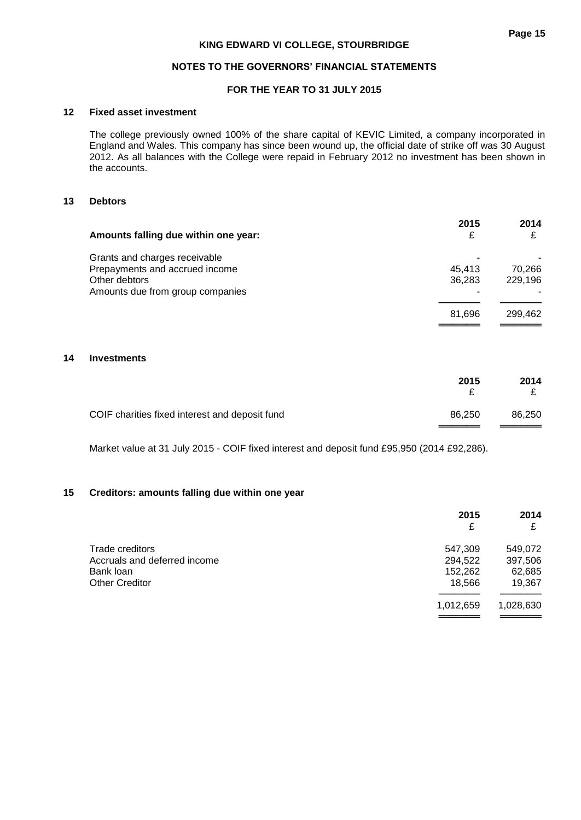### **NOTES TO THE GOVERNORS' FINANCIAL STATEMENTS**

### **FOR THE YEAR TO 31 JULY 2015**

#### **12 Fixed asset investment**

The college previously owned 100% of the share capital of KEVIC Limited, a company incorporated in England and Wales. This company has since been wound up, the official date of strike off was 30 August 2012. As all balances with the College were repaid in February 2012 no investment has been shown in the accounts.

### **13 Debtors**

| Amounts falling due within one year: | 2015   | 2014    |
|--------------------------------------|--------|---------|
| Grants and charges receivable        |        |         |
| Prepayments and accrued income       | 45.413 | 70.266  |
| Other debtors                        | 36,283 | 229,196 |
| Amounts due from group companies     |        |         |
|                                      | 81.696 | 299.462 |
|                                      |        |         |

#### **14 Investments**

|                                                | 2015   | 2014   |
|------------------------------------------------|--------|--------|
| COIF charities fixed interest and deposit fund | 86.250 | 86,250 |

Market value at 31 July 2015 - COIF fixed interest and deposit fund £95,950 (2014 £92,286).

### **15 Creditors: amounts falling due within one year**

|                              | 2015      | 2014      |
|------------------------------|-----------|-----------|
|                              | £         |           |
| Trade creditors              | 547,309   | 549,072   |
| Accruals and deferred income | 294,522   | 397,506   |
| Bank loan                    | 152,262   | 62,685    |
| <b>Other Creditor</b>        | 18,566    | 19,367    |
|                              | 1,012,659 | 1,028,630 |
|                              |           |           |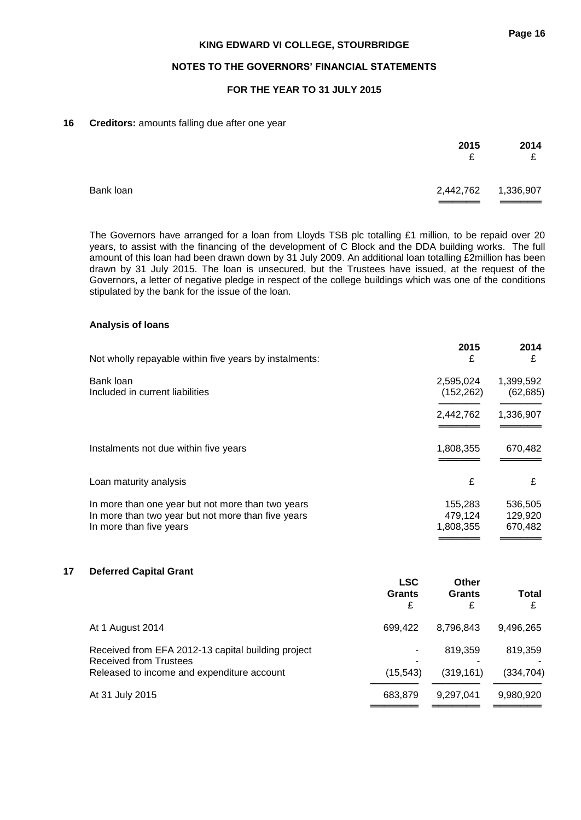### **NOTES TO THE GOVERNORS' FINANCIAL STATEMENTS**

### **FOR THE YEAR TO 31 JULY 2015**

#### **16 Creditors:** amounts falling due after one year

|           | 2015<br>£           | 2014<br>£ |
|-----------|---------------------|-----------|
| Bank loan | 2,442,762 1,336,907 |           |

The Governors have arranged for a loan from Lloyds TSB plc totalling £1 million, to be repaid over 20 years, to assist with the financing of the development of C Block and the DDA building works. The full amount of this loan had been drawn down by 31 July 2009. An additional loan totalling £2million has been drawn by 31 July 2015. The loan is unsecured, but the Trustees have issued, at the request of the Governors, a letter of negative pledge in respect of the college buildings which was one of the conditions stipulated by the bank for the issue of the loan.

### **Analysis of loans**

| Not wholly repayable within five years by instalments:                                                                             | 2015<br>£                       | 2014<br>£                     |
|------------------------------------------------------------------------------------------------------------------------------------|---------------------------------|-------------------------------|
| Bank loan<br>Included in current liabilities                                                                                       | 2,595,024<br>(152, 262)         | 1,399,592<br>(62, 685)        |
|                                                                                                                                    | 2,442,762                       | 1,336,907                     |
| Instalments not due within five years                                                                                              | 1,808,355                       | 670,482                       |
| Loan maturity analysis                                                                                                             | £                               | £                             |
| In more than one year but not more than two years<br>In more than two year but not more than five years<br>In more than five years | 155.283<br>479,124<br>1,808,355 | 536,505<br>129,920<br>670,482 |

### **17 Deferred Capital Grant**

|                                                                                                                                   | <b>LSC</b><br><b>Grants</b><br>£ | Other<br><b>Grants</b><br>£ | <b>Total</b><br>£     |
|-----------------------------------------------------------------------------------------------------------------------------------|----------------------------------|-----------------------------|-----------------------|
| At 1 August 2014                                                                                                                  | 699.422                          | 8,796,843                   | 9,496,265             |
| Received from EFA 2012-13 capital building project<br><b>Received from Trustees</b><br>Released to income and expenditure account | ٠<br>(15, 543)                   | 819.359<br>(319, 161)       | 819.359<br>(334, 704) |
| At 31 July 2015                                                                                                                   | 683.879                          | 9,297,041                   | 9,980,920             |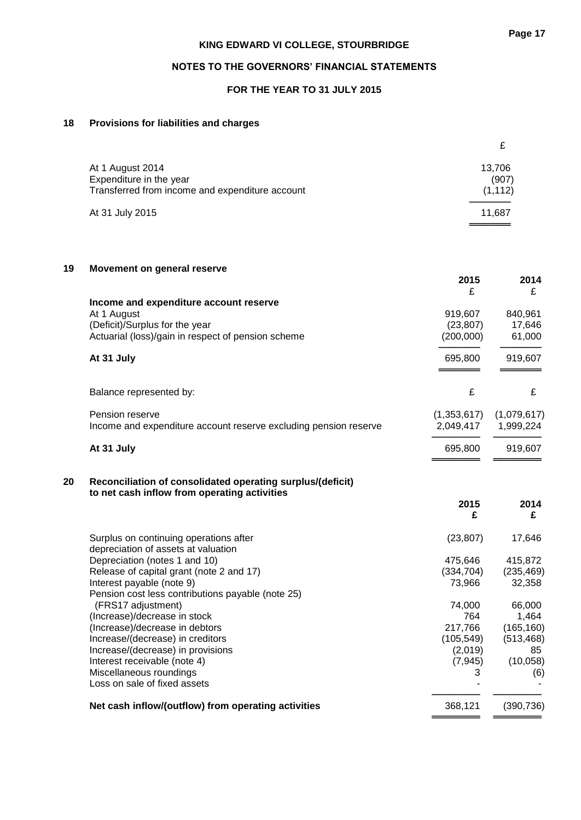### **NOTES TO THE GOVERNORS' FINANCIAL STATEMENTS**

### **FOR THE YEAR TO 31 JULY 2015**

### **18 Provisions for liabilities and charges**

| At 1 August 2014<br>Expenditure in the year<br>Transferred from income and expenditure account | 13,706<br>(907)<br>(1, 112) |
|------------------------------------------------------------------------------------------------|-----------------------------|
| At 31 July 2015                                                                                | 11.687                      |

| 19 | Movement on general reserve                                      |             |             |
|----|------------------------------------------------------------------|-------------|-------------|
|    |                                                                  | 2015        | 2014        |
|    |                                                                  | £           | £           |
|    | Income and expenditure account reserve                           |             |             |
|    | At 1 August                                                      | 919,607     | 840,961     |
|    | (Deficit)/Surplus for the year                                   | (23, 807)   | 17,646      |
|    | Actuarial (loss)/gain in respect of pension scheme               | (200,000)   | 61,000      |
|    | At 31 July                                                       | 695,800     | 919,607     |
|    |                                                                  |             |             |
|    | Balance represented by:                                          | £           | £           |
|    | Pension reserve                                                  | (1,353,617) | (1,079,617) |
|    | Income and expenditure account reserve excluding pension reserve | 2,049,417   | 1,999,224   |
|    | At 31 July                                                       | 695,800     | 919,607     |
|    |                                                                  |             |             |
| 20 | Reconciliation of consolidated operating surplus/(deficit)       |             |             |
|    | to net cash inflow from operating activities                     |             |             |
|    |                                                                  | 2015        | 2014        |
|    |                                                                  | £           | £           |
|    | Surplus on continuing operations after                           | (23, 807)   | 17,646      |
|    | depreciation of assets at valuation                              |             |             |
|    | Depreciation (notes 1 and 10)                                    | 475,646     | 415,872     |
|    | Release of capital grant (note 2 and 17)                         | (334, 704)  | (235, 469)  |
|    | Interest payable (note 9)                                        | 73,966      | 32,358      |
|    | Pension cost less contributions payable (note 25)                |             |             |
|    | (FRS17 adjustment)                                               | 74,000      | 66,000      |
|    | (Increase)/decrease in stock                                     | 764         | 1,464       |
|    | (Increase)/decrease in debtors                                   | 217,766     | (165, 160)  |
|    | Increase/(decrease) in creditors                                 | (105, 549)  | (513, 468)  |
|    | Increase/(decrease) in provisions                                | (2,019)     | 85          |
|    | Interest receivable (note 4)                                     | (7, 945)    | (10, 058)   |
|    | Miscellaneous roundings                                          | 3           | (6)         |
|    | Loss on sale of fixed assets                                     |             |             |
|    | Net cash inflow/(outflow) from operating activities              | 368,121     | (390, 736)  |

**═══════ ═══════**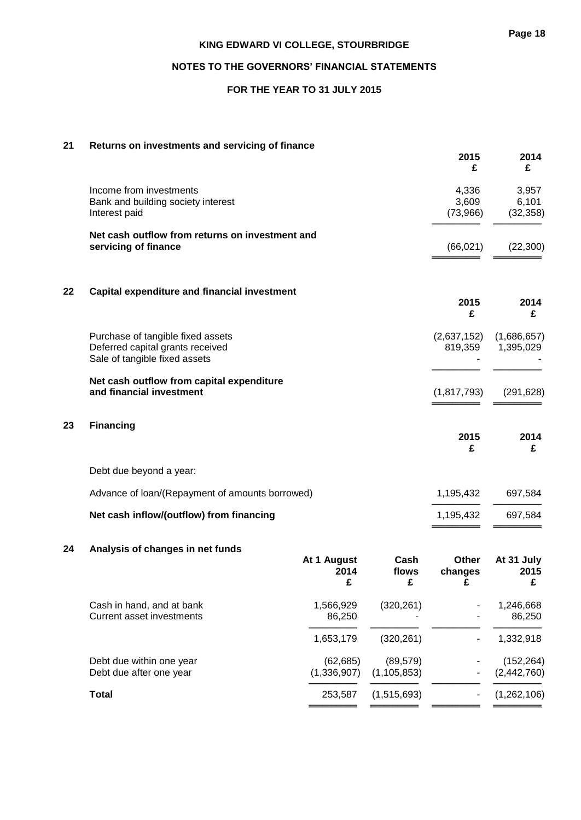### **NOTES TO THE GOVERNORS' FINANCIAL STATEMENTS**

### **FOR THE YEAR TO 31 JULY 2015**

#### **21 Returns on investments and servicing of finance**

|    |                                                                                                        |                          |                    | 2015<br>£                  | 2014<br>£                   |
|----|--------------------------------------------------------------------------------------------------------|--------------------------|--------------------|----------------------------|-----------------------------|
|    | Income from investments<br>Bank and building society interest<br>Interest paid                         |                          |                    | 4,336<br>3,609<br>(73,966) | 3,957<br>6,101<br>(32, 358) |
|    | Net cash outflow from returns on investment and<br>servicing of finance                                |                          |                    | (66, 021)                  | (22, 300)                   |
| 22 | <b>Capital expenditure and financial investment</b>                                                    |                          |                    | 2015<br>£                  | 2014<br>£                   |
|    | Purchase of tangible fixed assets<br>Deferred capital grants received<br>Sale of tangible fixed assets |                          |                    | (2,637,152)<br>819,359     | (1,686,657)<br>1,395,029    |
|    | Net cash outflow from capital expenditure<br>and financial investment                                  |                          |                    | (1, 817, 793)              | (291, 628)                  |
| 23 | <b>Financing</b>                                                                                       |                          |                    | 2015<br>£                  | 2014<br>£                   |
|    | Debt due beyond a year:                                                                                |                          |                    |                            |                             |
|    | Advance of loan/(Repayment of amounts borrowed)                                                        |                          |                    | 1,195,432                  | 697,584                     |
|    | Net cash inflow/(outflow) from financing                                                               |                          |                    | 1,195,432                  | 697,584                     |
| 24 | Analysis of changes in net funds                                                                       | At 1 August<br>2014<br>£ | Cash<br>flows<br>£ | Other<br>changes<br>£      | At 31 July<br>2015<br>£     |
|    | Cash in hand, and at bank<br><b>Current asset investments</b>                                          | 1,566,929<br>86,250      | (320, 261)         |                            | 1,246,668<br>86,250         |

<del>─────</del>─────────────<del>─</del> 1,653,179 (320,261) - 1,332,918

(62,685) (89,579) - (152,264)<br>(1,336,907) (1,105,853) - (2,442,760) ──────────────────────<del>───</del>──<sup>─</sup>──<del>─</del>

═══════ ═══════ ═══════ ═══════

| Debt due within one year | (62, 685) | (89,579)                    | (152, 264)     |
|--------------------------|-----------|-----------------------------|----------------|
| Debt due after one year  |           | $(1,336,907)$ $(1,105,853)$ | $ (2,442,760)$ |

**Total** 253,587 (1,515,693) - (1,262,106)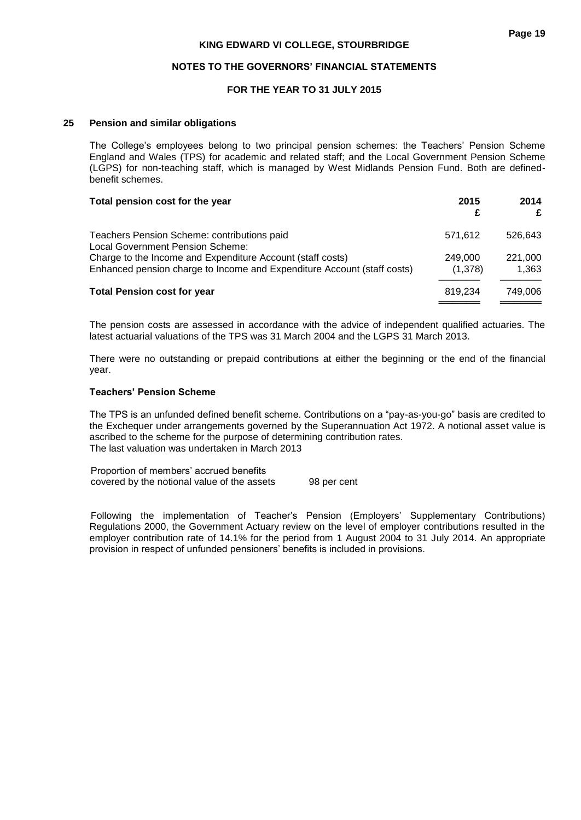#### **NOTES TO THE GOVERNORS' FINANCIAL STATEMENTS**

### **FOR THE YEAR TO 31 JULY 2015**

#### **25 Pension and similar obligations**

The College's employees belong to two principal pension schemes: the Teachers' Pension Scheme England and Wales (TPS) for academic and related staff; and the Local Government Pension Scheme (LGPS) for non-teaching staff, which is managed by West Midlands Pension Fund. Both are definedbenefit schemes.

| Total pension cost for the year                                                        | 2015<br>£ | 2014<br>£ |
|----------------------------------------------------------------------------------------|-----------|-----------|
| Teachers Pension Scheme: contributions paid<br><b>Local Government Pension Scheme:</b> | 571,612   | 526.643   |
| Charge to the Income and Expenditure Account (staff costs)                             | 249,000   | 221,000   |
| Enhanced pension charge to Income and Expenditure Account (staff costs)                | (1,378)   | 1.363     |
| <b>Total Pension cost for year</b>                                                     | 819.234   | 749,006   |
|                                                                                        |           |           |

The pension costs are assessed in accordance with the advice of independent qualified actuaries. The latest actuarial valuations of the TPS was 31 March 2004 and the LGPS 31 March 2013.

There were no outstanding or prepaid contributions at either the beginning or the end of the financial year.

#### **Teachers' Pension Scheme**

The TPS is an unfunded defined benefit scheme. Contributions on a "pay-as-you-go" basis are credited to the Exchequer under arrangements governed by the Superannuation Act 1972. A notional asset value is ascribed to the scheme for the purpose of determining contribution rates. The last valuation was undertaken in March 2013

Proportion of members' accrued benefits covered by the notional value of the assets 98 per cent

Following the implementation of Teacher's Pension (Employers' Supplementary Contributions) Regulations 2000, the Government Actuary review on the level of employer contributions resulted in the employer contribution rate of 14.1% for the period from 1 August 2004 to 31 July 2014. An appropriate provision in respect of unfunded pensioners' benefits is included in provisions.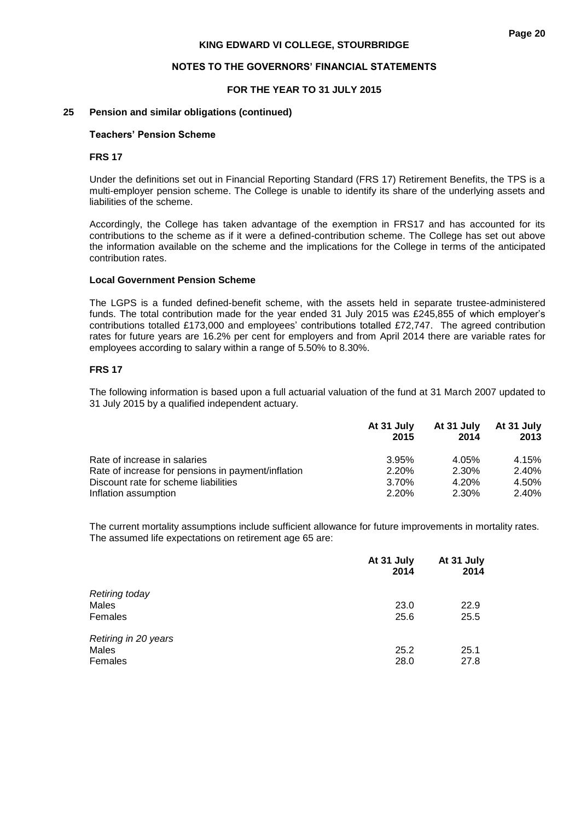#### **NOTES TO THE GOVERNORS' FINANCIAL STATEMENTS**

#### **FOR THE YEAR TO 31 JULY 2015**

#### **25 Pension and similar obligations (continued)**

#### **Teachers' Pension Scheme**

#### **FRS 17**

Under the definitions set out in Financial Reporting Standard (FRS 17) Retirement Benefits, the TPS is a multi-employer pension scheme. The College is unable to identify its share of the underlying assets and liabilities of the scheme.

Accordingly, the College has taken advantage of the exemption in FRS17 and has accounted for its contributions to the scheme as if it were a defined-contribution scheme. The College has set out above the information available on the scheme and the implications for the College in terms of the anticipated contribution rates.

#### **Local Government Pension Scheme**

The LGPS is a funded defined-benefit scheme, with the assets held in separate trustee-administered funds. The total contribution made for the year ended 31 July 2015 was £245,855 of which employer's contributions totalled £173,000 and employees' contributions totalled £72,747. The agreed contribution rates for future years are 16.2% per cent for employers and from April 2014 there are variable rates for employees according to salary within a range of 5.50% to 8.30%.

#### **FRS 17**

The following information is based upon a full actuarial valuation of the fund at 31 March 2007 updated to 31 July 2015 by a qualified independent actuary.

|                                                    | At 31 July | At 31 July | At 31 July |
|----------------------------------------------------|------------|------------|------------|
|                                                    | 2015       | 2014       | 2013       |
| Rate of increase in salaries                       | 3.95%      | 4.05%      | 4.15%      |
| Rate of increase for pensions in payment/inflation | 2.20%      | 2.30%      | 2.40%      |
| Discount rate for scheme liabilities               | 3.70%      | 4.20%      | 4.50%      |
| Inflation assumption                               | 2.20%      | 2.30%      | 2.40%      |

The current mortality assumptions include sufficient allowance for future improvements in mortality rates. The assumed life expectations on retirement age 65 are:

|                       | At 31 July<br>2014 | At 31 July<br>2014 |
|-----------------------|--------------------|--------------------|
| <b>Retiring today</b> |                    |                    |
| Males                 | 23.0               | 22.9               |
| Females               | 25.6               | 25.5               |
| Retiring in 20 years  |                    |                    |
| Males                 | 25.2               | 25.1               |
| Females               | 28.0               | 27.8               |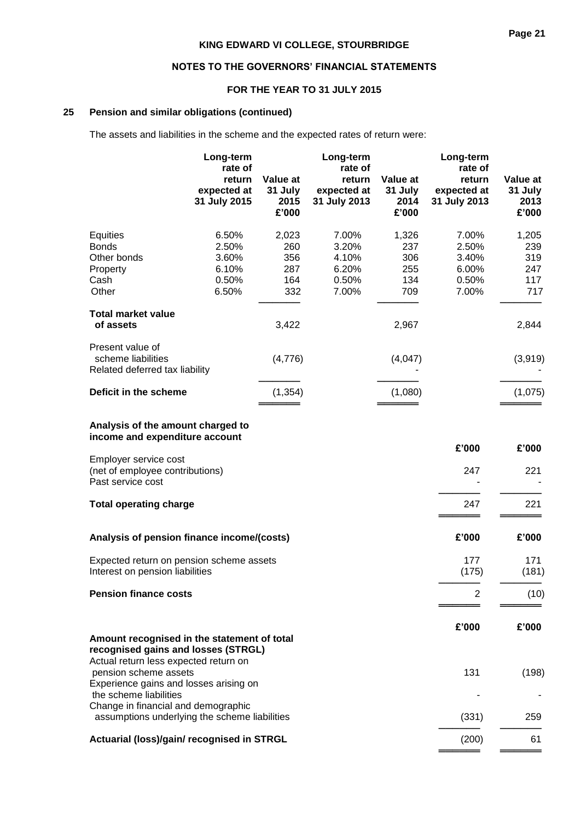### **NOTES TO THE GOVERNORS' FINANCIAL STATEMENTS**

### **FOR THE YEAR TO 31 JULY 2015**

### **25 Pension and similar obligations (continued)**

The assets and liabilities in the scheme and the expected rates of return were:

|                                                                                    | Long-term<br>rate of<br>return<br>expected at | Value at<br>31 July | Long-term<br>rate of<br>return<br>expected at | Value at<br>31 July | Long-term<br>rate of<br>return<br>expected at | Value at<br>31 July |
|------------------------------------------------------------------------------------|-----------------------------------------------|---------------------|-----------------------------------------------|---------------------|-----------------------------------------------|---------------------|
|                                                                                    | 31 July 2015                                  | 2015<br>£'000       | 31 July 2013                                  | 2014<br>£'000       | 31 July 2013                                  | 2013<br>£'000       |
| Equities                                                                           | 6.50%                                         | 2,023               | 7.00%                                         | 1,326               | 7.00%                                         | 1,205               |
| <b>Bonds</b>                                                                       | 2.50%                                         | 260                 | 3.20%                                         | 237                 | 2.50%                                         | 239                 |
| Other bonds                                                                        | 3.60%                                         | 356                 | 4.10%                                         | 306                 | 3.40%                                         | 319                 |
| Property<br>Cash                                                                   | 6.10%<br>0.50%                                | 287<br>164          | 6.20%<br>0.50%                                | 255<br>134          | 6.00%<br>0.50%                                | 247<br>117          |
| Other                                                                              | 6.50%                                         | 332                 | 7.00%                                         | 709                 | 7.00%                                         | 717                 |
| <b>Total market value</b><br>of assets                                             |                                               | 3,422               |                                               | 2,967               |                                               | 2,844               |
| Present value of                                                                   |                                               |                     |                                               |                     |                                               |                     |
| scheme liabilities<br>Related deferred tax liability                               |                                               | (4,776)             |                                               | (4,047)             |                                               | (3,919)             |
| Deficit in the scheme                                                              |                                               | (1, 354)            |                                               | (1,080)             |                                               | (1,075)             |
| Analysis of the amount charged to<br>income and expenditure account                |                                               |                     |                                               |                     | £'000                                         | £'000               |
| Employer service cost                                                              |                                               |                     |                                               |                     |                                               |                     |
| (net of employee contributions)<br>Past service cost                               |                                               |                     |                                               |                     | 247                                           | 221                 |
| <b>Total operating charge</b>                                                      |                                               |                     |                                               |                     | 247                                           | 221                 |
| Analysis of pension finance income/(costs)                                         |                                               |                     |                                               |                     | £'000                                         | £'000               |
| Expected return on pension scheme assets                                           |                                               |                     |                                               |                     | 177                                           | 171                 |
| Interest on pension liabilities                                                    |                                               |                     |                                               |                     | (175)                                         | (181)               |
| <b>Pension finance costs</b>                                                       |                                               |                     |                                               |                     | 2                                             | (10)                |
|                                                                                    |                                               |                     |                                               |                     | £'000                                         | £'000               |
| Amount recognised in the statement of total<br>recognised gains and losses (STRGL) |                                               |                     |                                               |                     |                                               |                     |
| Actual return less expected return on                                              |                                               |                     |                                               |                     |                                               |                     |
| pension scheme assets                                                              |                                               |                     |                                               |                     | 131                                           | (198)               |
| Experience gains and losses arising on                                             |                                               |                     |                                               |                     |                                               |                     |
| the scheme liabilities<br>Change in financial and demographic                      |                                               |                     |                                               |                     |                                               |                     |
| assumptions underlying the scheme liabilities                                      |                                               |                     |                                               |                     | (331)                                         | 259                 |
| Actuarial (loss)/gain/ recognised in STRGL                                         |                                               |                     |                                               |                     | (200)                                         | 61                  |

═══════════════════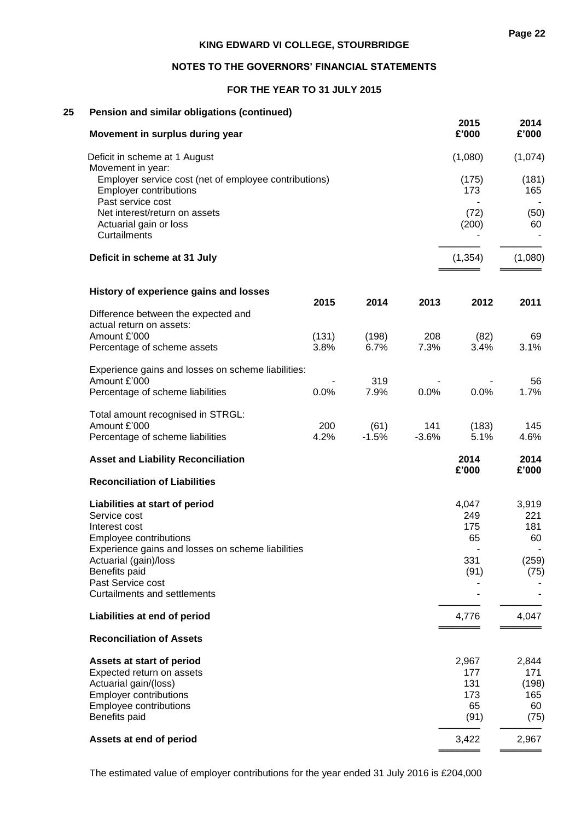### **FOR THE YEAR TO 31 JULY 2015**

### **25 Pension and similar obligations (continued)**

| Movement in surplus during year                                                                             |               |               |             | 2015<br>£'000 | 2014<br>£'000 |
|-------------------------------------------------------------------------------------------------------------|---------------|---------------|-------------|---------------|---------------|
| Deficit in scheme at 1 August<br>Movement in year:                                                          |               |               |             | (1,080)       | (1,074)       |
| Employer service cost (net of employee contributions)<br><b>Employer contributions</b><br>Past service cost |               |               |             | (175)<br>173  | (181)<br>165  |
| Net interest/return on assets<br>Actuarial gain or loss<br><b>Curtailments</b>                              |               |               |             | (72)<br>(200) | (50)<br>60    |
| Deficit in scheme at 31 July                                                                                |               |               |             | (1, 354)      | (1,080)       |
| History of experience gains and losses                                                                      |               |               |             |               |               |
| Difference between the expected and<br>actual return on assets:                                             | 2015          | 2014          | 2013        | 2012          | 2011          |
| Amount £'000<br>Percentage of scheme assets                                                                 | (131)<br>3.8% | (198)<br>6.7% | 208<br>7.3% | (82)<br>3.4%  | 69<br>3.1%    |
| Experience gains and losses on scheme liabilities:<br>Amount £'000                                          |               | 319           |             |               | 56            |
| Percentage of scheme liabilities                                                                            | 0.0%          | 7.9%          | 0.0%        | 0.0%          | 1.7%          |
| Total amount recognised in STRGL:<br>Amount £'000                                                           | 200           | (61)          | 141         | (183)         | 145           |
| Percentage of scheme liabilities                                                                            | 4.2%          | $-1.5%$       | $-3.6%$     | 5.1%          | 4.6%          |
| <b>Asset and Liability Reconciliation</b>                                                                   |               |               |             | 2014<br>£'000 | 2014<br>£'000 |
| <b>Reconciliation of Liabilities</b>                                                                        |               |               |             |               |               |
| Liabilities at start of period<br>Service cost                                                              |               |               |             | 4,047<br>249  | 3,919<br>221  |
| Interest cost                                                                                               |               |               |             | 175           | 181           |
| Employee contributions<br>Experience gains and losses on scheme liabilities                                 |               |               |             | 65            | 60            |
| Actuarial (gain)/loss                                                                                       |               |               |             | 331           | (259)         |
| Benefits paid<br>Past Service cost                                                                          |               |               |             | (91)          | (75)          |
| <b>Curtailments and settlements</b>                                                                         |               |               |             |               |               |
| Liabilities at end of period                                                                                |               |               |             | 4,776         | 4,047         |
| <b>Reconciliation of Assets</b>                                                                             |               |               |             |               |               |
| Assets at start of period                                                                                   |               |               |             | 2,967         | 2,844         |
| Expected return on assets<br>Actuarial gain/(loss)                                                          |               |               |             | 177<br>131    | 171<br>(198)  |
| <b>Employer contributions</b>                                                                               |               |               |             | 173           | 165           |
| Employee contributions                                                                                      |               |               |             | 65            | 60            |
| Benefits paid                                                                                               |               |               |             | (91)          | (75)          |
| Assets at end of period                                                                                     |               |               |             | 3,422         | 2,967         |
|                                                                                                             |               |               |             |               |               |

The estimated value of employer contributions for the year ended 31 July 2016 is £204,000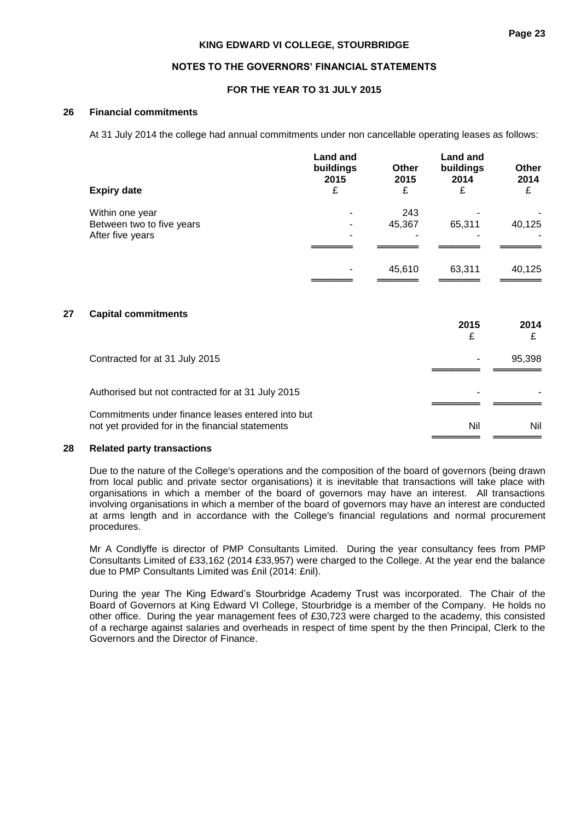#### **NOTES TO THE GOVERNORS' FINANCIAL STATEMENTS**

#### **FOR THE YEAR TO 31 JULY 2015**

#### **26 Financial commitments**

At 31 July 2014 the college had annual commitments under non cancellable operating leases as follows:

|                           | <b>Land and</b><br>buildings<br>2015 | <b>Other</b><br>2015 | <b>Land and</b><br>buildings<br>2014 | Other<br>2014         |
|---------------------------|--------------------------------------|----------------------|--------------------------------------|-----------------------|
| <b>Expiry date</b>        | £                                    | £                    | £                                    | £                     |
| Within one year           | ۰                                    | 243                  |                                      |                       |
| Between two to five years | $\overline{\phantom{0}}$             | 45,367               | 65,311                               | 40,125                |
| After five years          |                                      |                      |                                      | $\tilde{\phantom{a}}$ |
|                           |                                      |                      |                                      |                       |
|                           |                                      | 45,610               | 63,311                               | 40,125                |
|                           |                                      |                      |                                      |                       |

#### **27 Capital commitments**

| <b>Oapital Communicatio</b>                                                                           | 2015<br>£ | 2014   |
|-------------------------------------------------------------------------------------------------------|-----------|--------|
| Contracted for at 31 July 2015                                                                        |           | 95,398 |
| Authorised but not contracted for at 31 July 2015                                                     |           |        |
| Commitments under finance leases entered into but<br>not yet provided for in the financial statements | Nil       | Nil    |

#### **28 Related party transactions**

Due to the nature of the College's operations and the composition of the board of governors (being drawn from local public and private sector organisations) it is inevitable that transactions will take place with organisations in which a member of the board of governors may have an interest. All transactions involving organisations in which a member of the board of governors may have an interest are conducted at arms length and in accordance with the College's financial regulations and normal procurement procedures.

Mr A Condlyffe is director of PMP Consultants Limited. During the year consultancy fees from PMP Consultants Limited of £33,162 (2014 £33,957) were charged to the College. At the year end the balance due to PMP Consultants Limited was £nil (2014: £nil).

During the year The King Edward's Stourbridge Academy Trust was incorporated. The Chair of the Board of Governors at King Edward VI College, Stourbridge is a member of the Company. He holds no other office. During the year management fees of £30,723 were charged to the academy, this consisted of a recharge against salaries and overheads in respect of time spent by the then Principal, Clerk to the Governors and the Director of Finance.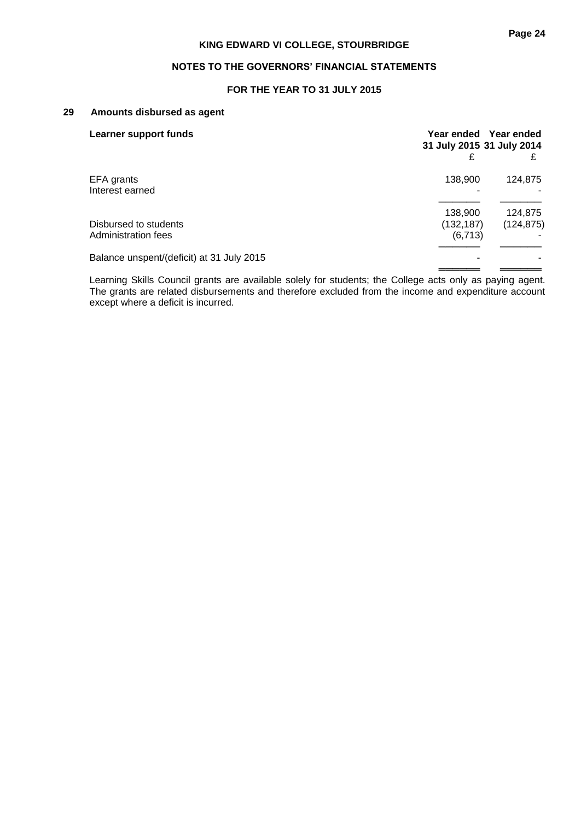### **NOTES TO THE GOVERNORS' FINANCIAL STATEMENTS**

### **FOR THE YEAR TO 31 JULY 2015**

#### **29 Amounts disbursed as agent**

| Learner support funds                        | 31 July 2015 31 July 2014         | Year ended Year ended |
|----------------------------------------------|-----------------------------------|-----------------------|
| EFA grants<br>Interest earned                | 138,900                           | 124.875               |
| Disbursed to students<br>Administration fees | 138,900<br>(132, 187)<br>(6, 713) | 124,875<br>(124, 875) |
| Balance unspent/(deficit) at 31 July 2015    |                                   |                       |

Learning Skills Council grants are available solely for students; the College acts only as paying agent. The grants are related disbursements and therefore excluded from the income and expenditure account except where a deficit is incurred.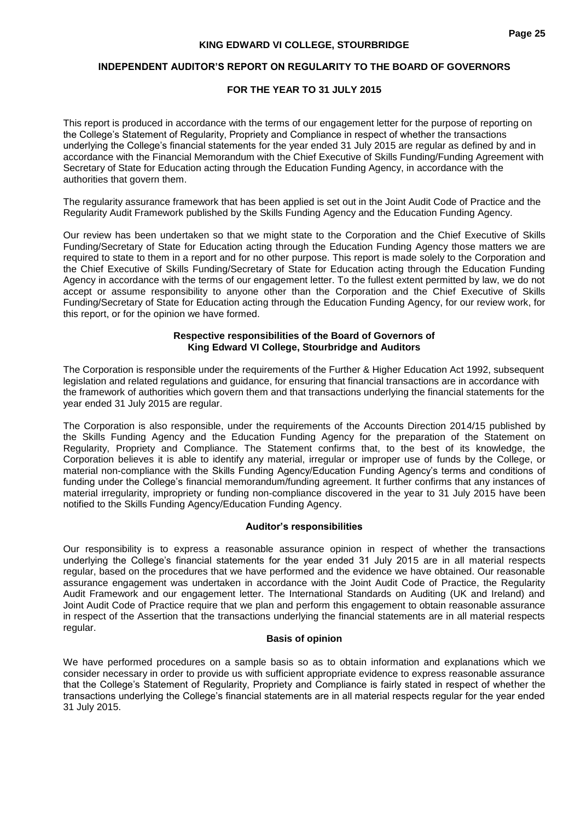### **INDEPENDENT AUDITOR'S REPORT ON REGULARITY TO THE BOARD OF GOVERNORS**

### **FOR THE YEAR TO 31 JULY 2015**

This report is produced in accordance with the terms of our engagement letter for the purpose of reporting on the College's Statement of Regularity, Propriety and Compliance in respect of whether the transactions underlying the College's financial statements for the year ended 31 July 2015 are regular as defined by and in accordance with the Financial Memorandum with the Chief Executive of Skills Funding/Funding Agreement with Secretary of State for Education acting through the Education Funding Agency, in accordance with the authorities that govern them.

The regularity assurance framework that has been applied is set out in the Joint Audit Code of Practice and the Regularity Audit Framework published by the Skills Funding Agency and the Education Funding Agency.

Our review has been undertaken so that we might state to the Corporation and the Chief Executive of Skills Funding/Secretary of State for Education acting through the Education Funding Agency those matters we are required to state to them in a report and for no other purpose. This report is made solely to the Corporation and the Chief Executive of Skills Funding/Secretary of State for Education acting through the Education Funding Agency in accordance with the terms of our engagement letter. To the fullest extent permitted by law, we do not accept or assume responsibility to anyone other than the Corporation and the Chief Executive of Skills Funding/Secretary of State for Education acting through the Education Funding Agency, for our review work, for this report, or for the opinion we have formed.

#### **Respective responsibilities of the Board of Governors of King Edward VI College, Stourbridge and Auditors**

The Corporation is responsible under the requirements of the Further & Higher Education Act 1992, subsequent legislation and related regulations and guidance, for ensuring that financial transactions are in accordance with the framework of authorities which govern them and that transactions underlying the financial statements for the year ended 31 July 2015 are regular.

The Corporation is also responsible, under the requirements of the Accounts Direction 2014/15 published by the Skills Funding Agency and the Education Funding Agency for the preparation of the Statement on Regularity, Propriety and Compliance. The Statement confirms that, to the best of its knowledge, the Corporation believes it is able to identify any material, irregular or improper use of funds by the College, or material non-compliance with the Skills Funding Agency/Education Funding Agency's terms and conditions of funding under the College's financial memorandum/funding agreement. It further confirms that any instances of material irregularity, impropriety or funding non-compliance discovered in the year to 31 July 2015 have been notified to the Skills Funding Agency/Education Funding Agency.

### **Auditor's responsibilities**

Our responsibility is to express a reasonable assurance opinion in respect of whether the transactions underlying the College's financial statements for the year ended 31 July 2015 are in all material respects regular, based on the procedures that we have performed and the evidence we have obtained. Our reasonable assurance engagement was undertaken in accordance with the Joint Audit Code of Practice, the Regularity Audit Framework and our engagement letter. The International Standards on Auditing (UK and Ireland) and Joint Audit Code of Practice require that we plan and perform this engagement to obtain reasonable assurance in respect of the Assertion that the transactions underlying the financial statements are in all material respects regular.

#### **Basis of opinion**

We have performed procedures on a sample basis so as to obtain information and explanations which we consider necessary in order to provide us with sufficient appropriate evidence to express reasonable assurance that the College's Statement of Regularity, Propriety and Compliance is fairly stated in respect of whether the transactions underlying the College's financial statements are in all material respects regular for the year ended 31 July 2015.